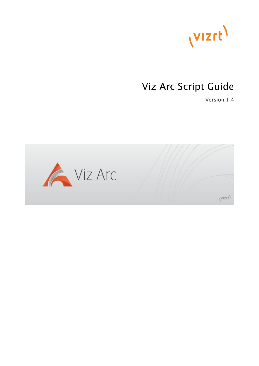

# Viz Arc Script Guide

Version 1.4

(Vizrt)

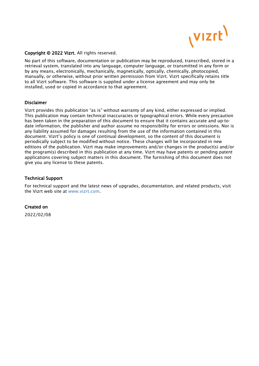

#### Copyright © 2022 Vizrt. All rights reserved.

No part of this software, documentation or publication may be reproduced, transcribed, stored in a retrieval system, translated into any language, computer language, or transmitted in any form or by any means, electronically, mechanically, magnetically, optically, chemically, photocopied, manually, or otherwise, without prior written permission from Vizrt. Vizrt specifically retains title to all Vizrt software. This software is supplied under a license agreement and may only be installed, used or copied in accordance to that agreement.

#### Disclaimer

Vizrt provides this publication "as is" without warranty of any kind, either expressed or implied. This publication may contain technical inaccuracies or typographical errors. While every precaution has been taken in the preparation of this document to ensure that it contains accurate and up-todate information, the publisher and author assume no responsibility for errors or omissions. Nor is any liability assumed for damages resulting from the use of the information contained in this document. Vizrt's policy is one of continual development, so the content of this document is periodically subject to be modified without notice. These changes will be incorporated in new editions of the publication. Vizrt may make improvements and/or changes in the product(s) and/or the program(s) described in this publication at any time. Vizrt may have patents or pending patent applications covering subject matters in this document. The furnishing of this document does not give you any license to these patents.

#### Technical Support

For technical support and the latest news of upgrades, documentation, and related products, visit the Vizrt web site at [www.vizrt.com.](http://www.vizrt.com)

### Created on

2022/02/08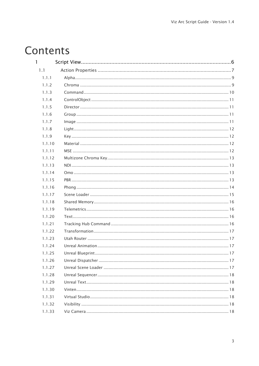# Contents

| $\mathbf{I}$ |  |
|--------------|--|
| 1.1          |  |
| 1.1.1        |  |
| 1.1.2        |  |
| 1.1.3        |  |
| 1.1.4        |  |
| 1.1.5        |  |
| 1.1.6        |  |
| 1.1.7        |  |
| 1.1.8        |  |
| 1.1.9        |  |
| 1.1.10       |  |
| 1.1.11       |  |
| 1.1.12       |  |
| 1.1.13       |  |
| 1.1.14       |  |
| 1.1.15       |  |
| 1.1.16       |  |
| 1.1.17       |  |
| 1.1.18       |  |
| 1.1.19       |  |
| 1.1.20       |  |
| 1.1.21       |  |
| 1.1.22       |  |
| 1.1.23       |  |
| 1.1.24       |  |
| 1.1.25       |  |
| 1.1.26       |  |
| 1.1.27       |  |
| 1.1.28       |  |
| 1.1.29       |  |
| 1.1.30       |  |
| 1.1.31       |  |
| 1.1.32       |  |
| 1.1.33       |  |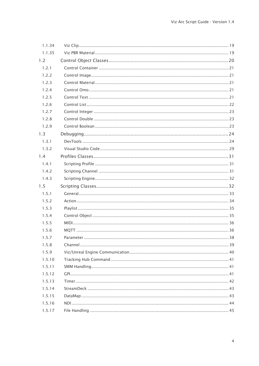| 1.1.34 |  |
|--------|--|
| 1.1.35 |  |
| 1.2    |  |
| 1.2.1  |  |
| 1.2.2  |  |
| 1.2.3  |  |
| 1.2.4  |  |
| 1.2.5  |  |
| 1.2.6  |  |
| 1.2.7  |  |
| 1.2.8  |  |
| 1.2.9  |  |
| 1.3    |  |
| 1.3.1  |  |
| 1.3.2  |  |
| 1.4    |  |
| 1.4.1  |  |
| 1.4.2  |  |
| 1.4.3  |  |
| 1.5    |  |
| 1.5.1  |  |
| 1.5.2  |  |
| 1.5.3  |  |
| 1.5.4  |  |
| 1.5.5  |  |
| 1.5.6  |  |
| 1.5.7  |  |
| 1.5.8  |  |
| 1.5.9  |  |
| 1.5.10 |  |
| 1.5.11 |  |
| 1.5.12 |  |
| 1.5.13 |  |
| 1.5.14 |  |
| 1.5.15 |  |
| 1.5.16 |  |
| 1.5.17 |  |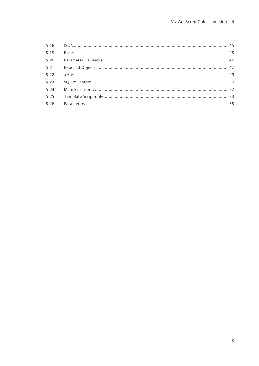| 1.5.19 |  |
|--------|--|
| 1.5.20 |  |
| 1.5.21 |  |
| 1.5.22 |  |
| 1.5.23 |  |
| 1.5.24 |  |
| 1.5.25 |  |
| 1.5.26 |  |
|        |  |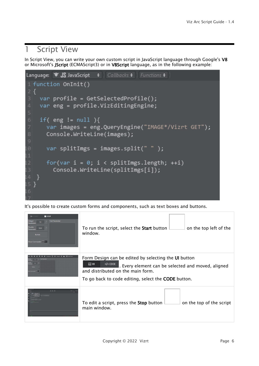# <span id="page-5-0"></span>1 Script View

In Script View, you can write your own custom script in JavaScript language through Google's V8 or Microsoft's JScript (ECMAScript3) or in VBScript language, as in the following example:



It's possible to create custom forms and components, such as text boxes and buttons.

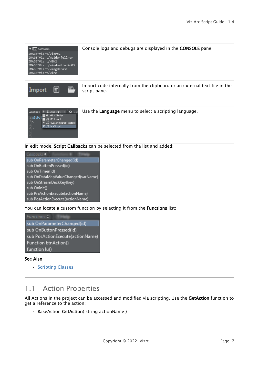| $\blacktriangledown$ CONSOLE<br>IMAGE*Vizrt/vizrt2<br>IMAGE*Vizrt/Weidenfellner<br>IMAGE*Vizrt/WIN2<br>IMAGE*Vizrt/windowStudio03<br>IMAGE*Vizrt/wingHLBase<br>IMAGE*Vizrt/wire      | Console logs and debugs are displayed in the CONSOLE pane.                                |
|--------------------------------------------------------------------------------------------------------------------------------------------------------------------------------------|-------------------------------------------------------------------------------------------|
| R,<br>E<br>Import                                                                                                                                                                    | Import code internally from the clipboard or an external text file in the<br>script pane. |
| Language: '8' JS JavaScript $\div$   C Cal<br><b>WE MS VBScript</b><br>d Global<br><b>S</b> MS JScript<br>$2\{$<br>8' JS JavaScript [Deprecated]<br><b>8' JS JavaScript</b><br>$4$ } | Use the Language menu to select a scripting language.                                     |

In edit mode, Script Callbacks can be selected from the list and added:



You can locate a custom function by selecting it from the Functions list:



### See Also

• [Scripting Classes](#page-31-1)

# <span id="page-6-0"></span>1.1 Action Properties

All Actions in the project can be accessed and modified via scripting. Use the GetAction function to get a reference to the action:

• BaseAction GetAction( string actionName )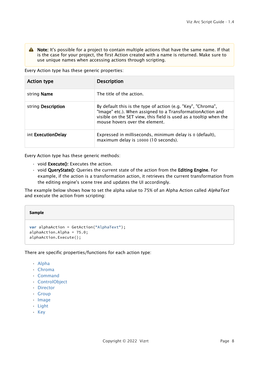A Note: It's possible for a project to contain multiple actions that have the same name. If that is the case for your project, the first Action created with a name is returned. Make sure to use unique names when accessing actions through scripting.

Every Action type has these generic properties:

| <b>Action type</b> | <b>Description</b>                                                                                                                                                                                                                |
|--------------------|-----------------------------------------------------------------------------------------------------------------------------------------------------------------------------------------------------------------------------------|
| string Name        | The title of the action.                                                                                                                                                                                                          |
| string Description | By default this is the type of action (e.g. "Key", "Chroma",<br>"Image" etc.). When assigned to a TransformationAction and<br>visible on the SET view, this field is used as a tooltip when the<br>mouse hovers over the element. |
| int ExecutionDelay | Expressed in milliseconds, minimum delay is 0 (default),<br>maximum delay is 10000 (10 seconds).                                                                                                                                  |

Every Action type has these generic methods:

- $\cdot$  void **Execute()**: Executes the action.
- void QueryState(): Queries the current state of the action from the Editing Engine. For example, if the action is a transformation action, it retrieves the current transformation from the editing engine's scene tree and updates the UI accordingly.

The example below shows how to set the alpha value to 75% of an Alpha Action called *AlphaText* and execute the action from scripting:

#### **Sample**

```
var alphaAction = GetAction("AlphaText");
alphaAction.Alpha = 75.0;
alphaAction.Execute();
```
There are specific properties/functions for each action type:

- [Alpha](#page-8-0)
- [Chroma](#page-8-1)
- [Command](#page-9-0)
- [ControlObject](#page-10-0)
- [Director](#page-10-1)
- [Group](#page-10-2)
- [Image](#page-10-3)
- [Light](#page-11-0)
- [Key](#page-11-1)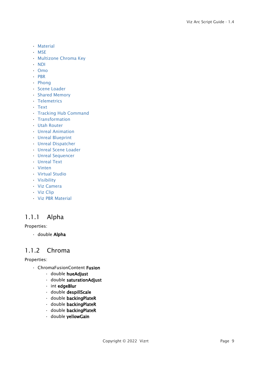- [Material](#page-11-2)
- [MSE](#page-11-3)
- [Multizone Chroma Key](#page-12-0)
- [NDI](#page-12-1)
- [Omo](#page-12-2)
- [PBR](#page-12-3)
- [Phong](#page-13-0)
- [Scene Loader](#page-14-0)
- [Shared Memory](#page-15-0)
- [Telemetrics](#page-15-1)
- [Text](#page-15-2)
- [Tracking Hub Command](#page-15-3)
- [Transformation](#page-16-0)
- [Utah Router](#page-16-1)
- [Unreal Animation](#page-16-2)
- [Unreal Blueprint](#page-16-3)
- [Unreal Dispatcher](#page-16-4)
- [Unreal Scene Loader](#page-16-5)
- [Unreal Sequencer](#page-17-0)
- [Unreal Text](#page-17-1)
- [Vinten](#page-17-2)
- [Virtual Studio](#page-17-3)
- [Visibility](#page-17-4)
- [Viz Camera](#page-17-5)
- [Viz Clip](#page-18-0)
- [Viz PBR Material](#page-18-1)

# <span id="page-8-0"></span>1.1.1 Alpha

### Properties:

• double Alpha

# <span id="page-8-1"></span>1.1.2 Chroma

### Properties:

- ChromaFusionContent Fusion
	- double hueAdjust
	- double saturationAdjust
	- int edgeBlur
	- double despillScale
	- double backingPlateR
	- double backingPlateR
	- double backingPlateR
	- double yellowGain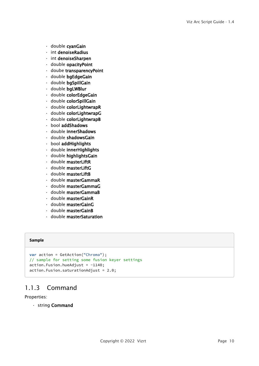- double cyanGain
- int denoiseRadius
- int denoiseSharpen
- double opacityPoint
- doube transparencyPoint
- double bgEdgeGain
- double bgSpillGain
- double bgLWBlur
- double colorEdgeGain
- double colorSpillGain
- double colorLightwrapR
- double colorLightwrapG
- double colorLightwrapB
- bool addShadows
- double innerShadows
- double shadowsGain
- bool addHighlights
- double innerHighlights
- double highlightsGain
- double masterLiftR
- double masterLiftG
- double masterLiftB
- double masterGammaR
- double masterGammaG
- double masterGammaB
- double masterGainR
- double masterGainG
- double masterGainB
- double masterSaturation

#### **Sample**

```
var action = GetAction("Chroma");
// sample for setting some fusion keyer settings
action.Fusion.hueAdjust = -1140;action.Fusion.saturationAdjust = 2.0;
```
# <span id="page-9-0"></span>1.1.3 Command

#### Properties:

• string Command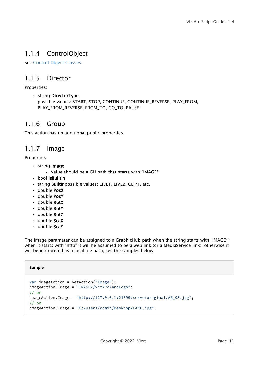# <span id="page-10-0"></span>1.1.4 ControlObject

<span id="page-10-1"></span>See [Control Object Classes](#page-19-0).

# 1.1.5 Director

Properties:

• string DirectorType possible values: START, STOP, CONTINUE, CONTINUE\_REVERSE, PLAY\_FROM, PLAY\_FROM\_REVERSE, FROM\_TO, GO\_TO, PAUSE

### <span id="page-10-2"></span>1.1.6 Group

<span id="page-10-3"></span>This action has no additional public properties.

# 1.1.7 Image

### Properties:

- string Image
	- Value should be a GH path that starts with "IMAGE\*"
- bool IsBuiltin
- string Builtinpossible values: LIVE1, LIVE2, CLIP1, etc.
- double PosX
- double PosY
- double RotX
- double RotY
- double RotZ
- double ScaX
- double ScaY

The Image parameter can be assigned to a GraphicHub path when the string starts with "IMAGE\*"; when it starts with "http" it will be assumed to be a web link (or a MediaService link), otherwise it will be interpreted as a local file path, see the samples below:

| <b>Sample</b> |                                                                                                    |
|---------------|----------------------------------------------------------------------------------------------------|
| $11$ or       | <b>var</b> $imageAction = GetAction("Image");$<br>$imageAction$ . Image = "IMAGE*/VizArc/arcLogo"; |
| $11$ or       | $imageAction. Image = "http://127.0.0.1:21099/serve/original/AR_03.jpg";$                          |
|               | imageAction.Image = "C:/Users/admin/Desktop/CAKE.jpg";                                             |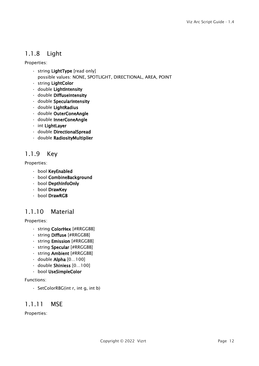# <span id="page-11-0"></span>1.1.8 Light

Properties:

- string LightType [read only]
- possible values: NONE, SPOTLIGHT, DIRECTIONAL, AREA, POINT
- string LightColor
- double LightIntensity
- double DiffuseIntensity
- double SpecularIntensity
- double LightRadius
- double OuterConeAngle
- double InnerConeAngle
- int LightLayer
- double DirectionalSpread
- double RadiosityMultiplier

# <span id="page-11-1"></span>1.1.9 Key

Properties:

- bool KeyEnabled
- bool CombineBackground
- bool DepthInfoOnly
- bool DrawKey
- bool DrawRGB

# <span id="page-11-2"></span>1.1.10 Material

### Properties:

- string **ColorHex** [#RRGGBB]
- string Diffuse [#RRGGBB]
- string Emission [#RRGGBB]
- string Specular [#RRGGBB]
- string Ambient [#RRGGBB]
- $\cdot$  double Alpha  $[0...100]$
- double Shiniess [0…100]
- bool UseSimpleColor

### Functions:

• SetColorRBG(int r, int g, int b)

### <span id="page-11-3"></span>1.1.11 MSE

Properties: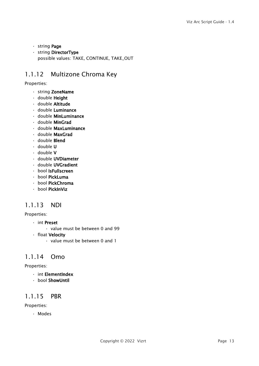- string Page
- string DirectorType possible values: TAKE, CONTINUE, TAKE\_OUT

# <span id="page-12-0"></span>1.1.12 Multizone Chroma Key

### Properties:

- string ZoneName
- double Height
- double Altitude
- double Luminance
- double MinLuminance
- double MinGrad
- double MaxLuminance
- double MaxGrad
- double Blend
- double U
- double V
- double UVDiameter
- double UVGradient
- bool IsFullscreen
- bool PickLuma
- bool PickChroma
- bool PickInViz

# <span id="page-12-1"></span>1.1.13 NDI

### Properties:

- int Preset
	- value must be between 0 and 99
- float Velocity
	- value must be between 0 and 1

### <span id="page-12-2"></span>1.1.14 Omo

### Properties:

- int ElementIndex
- bool ShowUntil

# <span id="page-12-3"></span>1.1.15 PBR

Properties:

• Modes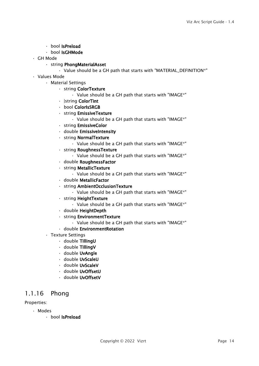- bool IsPreload
- bool IsGHMode
- GH Mode
	- string PhongMaterialAsset

• Value should be a GH path that starts with "MATERIAL\_DEFINITION\*"

- Values Mode
	- Material Settings
		- string ColorTexture
			- Value should be a GH path that starts with "IMAGE\*"
		- |string ColorTint
		- bool ColorIsSRGB
		- string EmissiveTexture
			- Value should be a GH path that starts with "IMAGE\*"
		- string EmissiveColor
		- double EmissiveIntensity
		- string NormalTexture
			- Value should be a GH path that starts with "IMAGE\*"
		- string RoughnessTexture
			- Value should be a GH path that starts with "IMAGE\*"
		- double RoughnessFactor
		- string MetallicTexture
			- Value should be a GH path that starts with "IMAGE\*"
		- double MetallicFactor
		- string AmbientOcclusionTexture
			- Value should be a GH path that starts with "IMAGE\*"
		- string HeightTexture
			- Value should be a GH path that starts with "IMAGE\*"
		- double HeightDepth
		- string EnvironmentTexture
			- Value should be a GH path that starts with "IMAGE\*"
		- double EnvironmentRotation
	- Texture Settings
		- double TillingU
		- double TillingV
		- double UvAngle
		- double UvScaleU
		- double UvScaleV
		- double UvOffsetU
		- double UvOffsetV

# <span id="page-13-0"></span>1.1.16 Phong

### Properties:

- Modes
	- bool IsPreload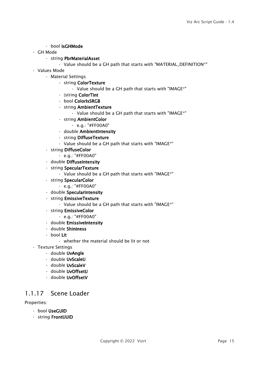### • bool IsGHMode

• GH Mode

### • string PbrMaterialAsset

- Value should be a GH path that starts with "MATERIAL\_DEFINITION\*"
- Values Mode
	- Material Settings
		- string ColorTexture
			- Value should be a GH path that starts with "IMAGE\*"
		- |string ColorTint
		- bool ColorIsSRGB
		- string AmbientTexture
			- Value should be a GH path that starts with "IMAGE\*"
		- string AmbientColor
			- e.g.: "#FF00A0"
		- double AmbientIntensity
		- string DiffuseTexture
		- Value should be a GH path that starts with "IMAGE\*"
	- string DiffuseColor
		- e.g.: "#FF00A0"
	- double DiffuseIntensity
	- string SpecularTexture
		- Value should be a GH path that starts with "IMAGE\*"
	- string SpecularColor
		- e.g.: "#FF00A0"
	- double SpecularIntensity
	- string EmissiveTexture
		- Value should be a GH path that starts with "IMAGE\*"
	- string EmissiveColor
		- e.g.: "#FF00A0"
	- double EmissiveIntensity
	- double Shininess
	- bool Lit
		- whether the material should be lit or not
- Texture Settings
	- double UvAngle
	- double UvScaleU
	- double UvScaleV
	- double UvOffsetU
	- double UvOffsetV

# <span id="page-14-0"></span>1.1.17 Scene Loader

### Properties:

- bool UseGUID
- string FrontUUID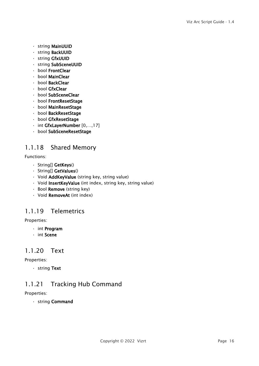- string MainUUID
- string BackUUID
- string GfxUUID
- string SubSceneUUID
- bool FrontClear
- bool MainClear
- bool BackClear
- bool GfxClear
- bool SubSceneClear
- bool FrontResetStage
- bool MainResetStage
- bool BackResetStage
- bool GfxResetStage
- int GfxLayerNumber [0,…,17]
- bool SubSceneResetStage

# <span id="page-15-0"></span>1.1.18 Shared Memory

Functions:

- String[] GetKeys()
- String[] GetValues()
- Void AddKeyValue (string key, string value)
- Void InsertKeyValue (int index, string key, string value)
- Bool Remove (string key)
- Void RemoveAt (int index)

# <span id="page-15-1"></span>1.1.19 Telemetrics

Properties:

- int Program
- int Scene

# <span id="page-15-2"></span>1.1.20 Text

### Properties:

• string Text

# <span id="page-15-3"></span>1.1.21 Tracking Hub Command

### Properties:

• string Command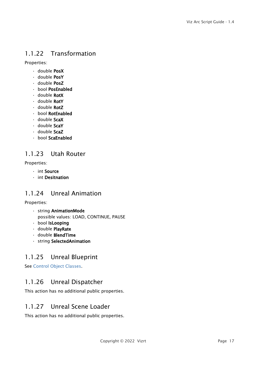# <span id="page-16-0"></span>1.1.22 Transformation

Properties:

- double PosX
- double PosY
- double PosZ
- bool PosEnabled
- double **RotX**
- double RotY
- double RotZ
- bool RotEnabled
- double ScaX
- double ScaY
- double ScaZ
- bool ScaEnabled

# <span id="page-16-1"></span>1.1.23 Utah Router

Properties:

- int Source
- int Desitnation

# <span id="page-16-2"></span>1.1.24 Unreal Animation

Properties:

- string AnimationMode possible values: LOAD, CONTINUE, PAUSE
- bool IsLooping
- double PlayRate
- double BlendTime
- string SelectedAnimation

# <span id="page-16-3"></span>1.1.25 Unreal Blueprint

<span id="page-16-4"></span>See [Control Object Classes](#page-19-0).

# 1.1.26 Unreal Dispatcher

<span id="page-16-5"></span>This action has no additional public properties.

### 1.1.27 Unreal Scene Loader

This action has no additional public properties.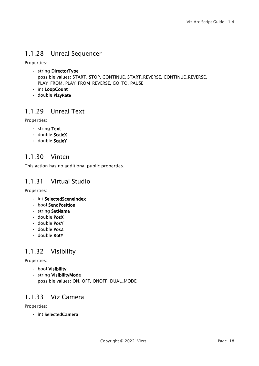# <span id="page-17-0"></span>1.1.28 Unreal Sequencer

Properties:

- string DirectorType possible values: START, STOP, CONTINUE, START\_REVERSE, CONTINUE\_REVERSE, PLAY\_FROM, PLAY\_FROM\_REVERSE, GO\_TO, PAUSE
- int LoopCount
- double PlayRate

# <span id="page-17-1"></span>1.1.29 Unreal Text

Properties:

- string Text
- double ScaleX
- double ScaleY

# <span id="page-17-2"></span>1.1.30 Vinten

<span id="page-17-3"></span>This action has no additional public properties.

### 1.1.31 Virtual Studio

Properties:

- int SelectedSceneIndex
- bool SendPosition
- string SetName
- double PosX
- double PosY
- double PosZ
- double **RotY**

# <span id="page-17-4"></span>1.1.32 Visibility

### Properties:

- bool Visibility
- string VisibilityMode possible values: ON, OFF, ONOFF, DUAL\_MODE

# <span id="page-17-5"></span>1.1.33 Viz Camera

Properties:

• int SelectedCamera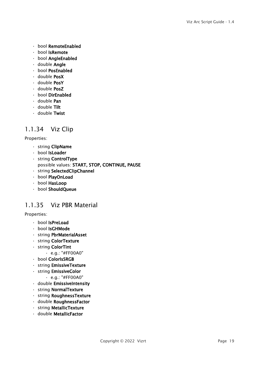- bool RemoteEnabled
- bool IsRemote
- bool AngleEnabled
- double Angle
- bool PosEnabled
- double PosX
- double PosY
- double PosZ
- bool DirEnabled
- double Pan
- double Tilt
- double Twist

# <span id="page-18-0"></span>1.1.34 Viz Clip

### Properties:

- string ClipName
- bool IsLoader
- string ControlType
- possible values: START, STOP, CONTINUE, PAUSE
- string SelectedClipChannel
- bool PlayOnLoad
- bool HasLoop
- bool ShouldQueue

### <span id="page-18-1"></span>1.1.35 Viz PBR Material

### Properties:

- bool IsPreLoad
- bool IsGHMode
- string PbrMaterialAsset
- string ColorTexture
- string ColorTint
	- e.g.: "#FF00A0"
- bool ColorIsSRGB
- string EmissiveTexture
- string EmissiveColor
	- e.g.: "#FF00A0"
- double EmissiveIntensity
- string NormalTexture
- string RoughnessTexture
- double RoughnessFactor
- string MetallicTexture
- double MetallicFactor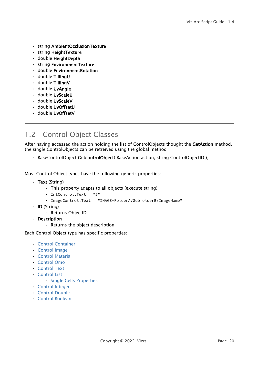- string AmbientOcclusionTexture
- string HeightTexture
- double HeightDepth
- string EnvironmentTexture
- double EnvironmentRotation
- double TillingU
- double TillingV
- double UvAngle
- double UvScaleU
- double UvScaleV
- double UvOffsetU
- double UvOffsetV

# <span id="page-19-0"></span>1.2 Control Object Classes

After having accessed the action holding the list of ControlObjects thought the GetAction method, the single ControlObjects can be retreived using the global method

• BaseControlObject GetcontrolObject (BaseAction action, string ControlObjectID);

Most Control Object types have the following generic properties:

- Text (String)
	- This property adapts to all objects (execute string)
	- IntControl.Text = "5"
	- ImageControl.Text = "IMAGE\*FolderA/SubfolderB/ImageName"
- ID (String)
	- Returns ObjectID
- Description
	- Returns the object description

Each Control Object type has specific properties:

- [Control Container](#page-20-0)
- [Control Image](#page-20-1)
- [Control Material](#page-20-2)
- [Control Omo](#page-20-3)
- [Control Text](#page-20-4)
- [Control List](#page-21-0)
	- [Single Cells Properties](#page-21-1)
- [Control Integer](#page-22-0)
- [Control Double](#page-22-1)
- [Control Boolean](#page-22-2)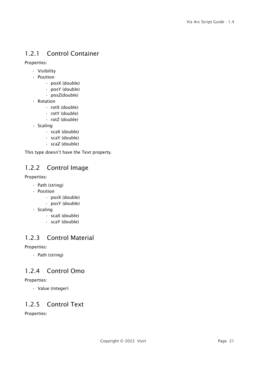# <span id="page-20-0"></span>1.2.1 Control Container

Properties:

- Visibility
- Position
	- posX (double)
	- posY (double)
	- posZ(double)
- Rotation
	- rotX (double)
	- rotY (double)
	- rotZ (double)
- Scaling
	- scaX (double)
	- scaY (double)
	- scaZ (double)

<span id="page-20-1"></span>This type doesn't have the Text property.

# 1.2.2 Control Image

### Properties:

- Path (string)
- Position
	- posX (double)
	- posY (double)
- Scaling
	- scaX (double)
	- scaY (double)

# <span id="page-20-2"></span>1.2.3 Control Material

Properties:

• Path (string)

# <span id="page-20-3"></span>1.2.4 Control Omo

### Properties:

• Value (integer)

# <span id="page-20-4"></span>1.2.5 Control Text

Properties: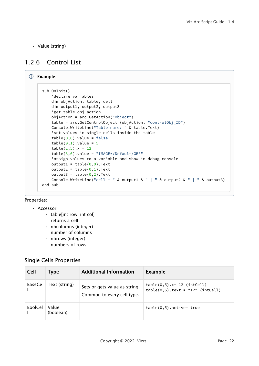• Value (string)

# <span id="page-21-0"></span>1.2.6 Control List

```
Example:
     sub OnInit()
          'declare variables
          dim objAction, table, cell
          dim output1, output2, output3
          'get table obj action
          objAction = arc.GetAction("object")
          table = arc.GetControlObject (objAction, "controlObj_ID")
          Console.WriteLine("Table name: " & table.Text)
          'set values in single cells inside the table
          table(0,0).value = false
         table(0,1).value = 5table(2,5) . x = 12table(3,6).value = "IMAGE*/Default/GER"
          'assign values to a variable and show in debug console
         output1 = table(0,0). Text
         output2 = table(0,1). Text
         output3 = table(0,2). Text
         Console.WriteLine("cell - " & output1 & " | " & output2 & " | " & output3)
     end sub
```
### Properties:

### • Accessor

- table[int row, int col]
	- returns a cell
- nbcolumns (integer) number of columns
- nbrows (integer) numbers of rows

### <span id="page-21-1"></span>Single Cells Properties

| <b>Cell</b>    | Type               | <b>Additional Information</b>                               | <b>Example</b>                                                                      |
|----------------|--------------------|-------------------------------------------------------------|-------------------------------------------------------------------------------------|
| BaseCe         | Text (string)      | Sets or gets value as string.<br>Common to every cell type. | $table(0,5) \nvert x = 12 \nvert (intCell)$<br>$table(0,5) . text = "12" (intCell)$ |
| <b>BoolCel</b> | Value<br>(boolean) |                                                             | $table(0,5)$ .active= true                                                          |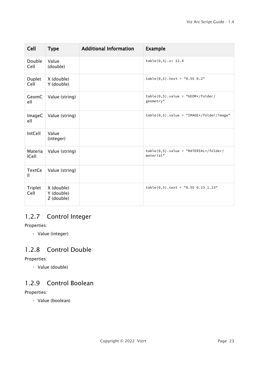| Cell                    | <b>Type</b>                            | <b>Additional Information</b> | <b>Example</b>                                        |
|-------------------------|----------------------------------------|-------------------------------|-------------------------------------------------------|
| Double<br>Cell          | Value<br>(double)                      |                               | $table(0,5) .x = 12.8$                                |
| Duplet<br>Cell          | X (double)<br>Y (double)               |                               | $table(0,5) . text = "0.55 0.2"$                      |
| GeomC<br>ell            | Value (string)                         |                               | $table(0,5)$ .value = "GEOM*/folder/<br>geometry"     |
| <b>ImageC</b><br>ell    | Value (string)                         |                               | $table(0,5)$ .value = "IMAGE*/folder/image"           |
| IntCell                 | Value<br>(integer)                     |                               |                                                       |
| Materia<br><b>ICell</b> | Value (string)                         |                               | $table(0,5)$ .value = "MATERIAL*/folder/<br>material" |
| <b>TextCe</b><br>Ш      | Value (string)                         |                               |                                                       |
| Triplet<br>Cell         | X (double)<br>Y (double)<br>Z (double) |                               | $table(0,5) . text = "0.55 0.23 1.23"$                |

# <span id="page-22-0"></span>1.2.7 Control Integer

Properties:

• Value (integer)

# <span id="page-22-1"></span>1.2.8 Control Double

Properties:

• Value (double)

# <span id="page-22-2"></span>1.2.9 Control Boolean

### Properties:

• Value (boolean)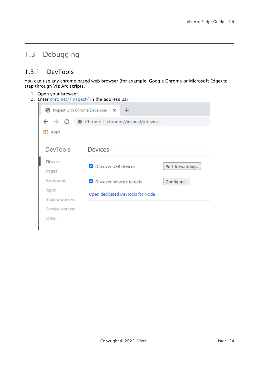# <span id="page-23-0"></span>1.3 Debugging

# <span id="page-23-1"></span>1.3.1 DevTools

You can use any chrome based web browser (for example, Google Chrome or Microsoft Edge) to step through Viz Arc scripts.

- 1. Open your browser.
- 2. Enter <chrome://inspect/> in the address bar.

| Inspect with Chrome Developer T X<br>G.               | $\pm$                            |                 |  |  |  |  |  |
|-------------------------------------------------------|----------------------------------|-----------------|--|--|--|--|--|
| $\rightarrow$ C<br>Chrome   chrome://inspect/#devices |                                  |                 |  |  |  |  |  |
| <b>H</b> Apps                                         |                                  |                 |  |  |  |  |  |
| <b>DevTools</b>                                       | <b>Devices</b>                   |                 |  |  |  |  |  |
| <b>Devices</b>                                        | Discover USB devices             |                 |  |  |  |  |  |
| Pages                                                 |                                  | Port forwarding |  |  |  |  |  |
| Extensions                                            | Discover network targets         | Configure       |  |  |  |  |  |
| Apps                                                  | Open dedicated DevTools for Node |                 |  |  |  |  |  |
| Shared workers                                        |                                  |                 |  |  |  |  |  |
| Service workers                                       |                                  |                 |  |  |  |  |  |
| Other                                                 |                                  |                 |  |  |  |  |  |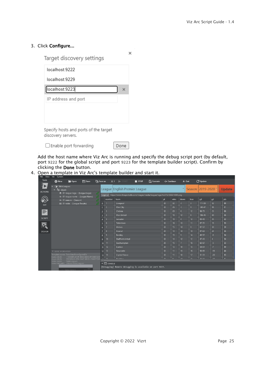### 3. Click Configure...

Target discovery settings

| localhost:9222                                              |   |
|-------------------------------------------------------------|---|
| localhost:9229                                              |   |
| Iocalhost:9223                                              | x |
| IP address and port                                         |   |
| Specify hosts and ports of the target<br>discovery servers. |   |

```
□ Enable port forwarding
```
Done

Add the host name where Viz Arc is running and specify the debug script port (by default, port 9222 for the global script and port 9223 for the template builder script). Confirm by clicking the Done button.

 $\times$ 

4. Open a template in Viz Arc's template builder and start it.

| <b>Tools</b>   | H Save<br><b>O</b> New<br><b>D</b> Open                                                             | <b>白</b> Save as |                                             | $\times$ $\sim$ START<br>$\blacksquare$ STOP                                       | $\Gamma$ Execute | ∗ Continue |            |                 | $\triangle$ Out     | C Update  |                 |               |
|----------------|-----------------------------------------------------------------------------------------------------|------------------|---------------------------------------------|------------------------------------------------------------------------------------|------------------|------------|------------|-----------------|---------------------|-----------|-----------------|---------------|
| <b>ACTIONS</b> | 7ableLeagues<br>v T= object<br>■ 01-league-logo - (League Logo)<br>a.                               |                  |                                             | League English Premier League                                                      |                  |            |            | $\Delta$        | Season: 2019-2020 + |           |                 | <b>Update</b> |
|                | -Ai- 01-league-name - (League Name)<br>B                                                            |                  |                                             | Logo uri https://www.thesportsdb.com/images/media/league/logo/4c377s1535214890.png |                  |            |            |                 |                     |           |                 |               |
|                | -Ai- 01-season - (Season)                                                                           |                  | number                                      | team                                                                               |                  | pl         | wins       | draws           | lose                | gd        | gd              | pts           |
| <b>SET</b>     | $\equiv$ 01-table - (League Results)                                                                | $\mathbf{0}$     |                                             | Liverpool                                                                          |                  | 38         | 32         | B               | $\overline{3}$      | 111-59    | 52              | 99            |
|                |                                                                                                     |                  | $\overline{2}$                              | Man City                                                                           |                  | 38         | 26         | $\vert$ 3       | 9                   | 145-47    | 98              | 81            |
| ≣              |                                                                                                     |                  | $\vert$ <sub>3</sub>                        | Chelsea                                                                            |                  | 38         | 20         | $6\overline{6}$ | 12                  | $96 - 73$ | 23              | 66            |
|                |                                                                                                     |                  |                                             | <b>Man United</b>                                                                  |                  | 38         | 18         | 12              | 8                   | 106-46    | 60              | 66            |
| <b>SCRIPT</b>  |                                                                                                     |                  | $\overline{5}$                              | Leicester                                                                          |                  | 38         | 18         | $\overline{8}$  | 12                  | 83-48     | 35              | 62            |
|                |                                                                                                     |                  | 6                                           | Tottenham                                                                          |                  | 38         | 16         | 11              | 11                  | $87 - 72$ | 15              | 59            |
| <b>s</b>       |                                                                                                     | 6                | 17                                          | <b>Wolves</b>                                                                      |                  | 38         | 15         | 14              | $\overline{9}$      | $87 - 57$ | 30              | 59            |
| <b>DESIGN</b>  |                                                                                                     | $\overline{7}$   | $\overline{8}$                              | Arsenal                                                                            |                  | 38         | 14         | 14              | 10                  | $87 - 63$ | 24              | 56            |
|                |                                                                                                     | 8                | $\overline{9}$                              | Burnley                                                                            |                  | 38         | 15         | $\vert$ 9       | 14                  | 49-57     | $-8$            | 54            |
|                |                                                                                                     | $\overline{9}$   | 10                                          | <b>Sheffield United</b>                                                            |                  | 38         | 14         | 12              | 12                  | $47 - 43$ | $\vert 4 \vert$ | 54            |
|                |                                                                                                     | 10 <sup>10</sup> | 11                                          | Southampton                                                                        |                  | 38         | 15         | 7               | 16                  | 62-67     | $-5$            | 52            |
|                |                                                                                                     | 11               | $\overline{12}$                             | Everton                                                                            |                  | 38         | 13         | 10              | 15                  | $54 - 61$ | $-7$            | 49            |
|                | <b>V</b> SCENE INFORMATION                                                                          |                  | $12$ 13                                     | Newcastle                                                                          |                  | 38         | 11         | 11              | 16                  | $50 - 65$ | $-15$           | 44            |
|                | Template name: TableDataFromSportsDb                                                                | 13               | 14                                          | <b>Crystal Palace</b>                                                              |                  | 38         | 11         | 10              | 17                  | $31 - 51$ | $-20$           | 43            |
|                | 119D38F2-B10F-E943-B2D9-0FC50E72D<br>Scene UUID:<br>F85D03A3-4FB4-D447-8D2D-C56697338<br>Geom UUID: |                  | $44$ 15                                     | <b>Drighton</b>                                                                    |                  | 20         | $\sqrt{2}$ | $\overline{14}$ | 15                  | 12550     | 17              | A4            |
|                | TableLeagues<br>Scene name:<br>Scene full path: /VizArc/TableLeagues                                |                  | $\blacktriangledown$ $\boxed{\geq}$ console |                                                                                    |                  |            |            |                 |                     |           |                 |               |
|                |                                                                                                     |                  |                                             | [Debugging] Remote debugging is available on port 9223.                            |                  |            |            |                 |                     |           |                 |               |
|                |                                                                                                     |                  |                                             |                                                                                    |                  |            |            |                 |                     |           |                 |               |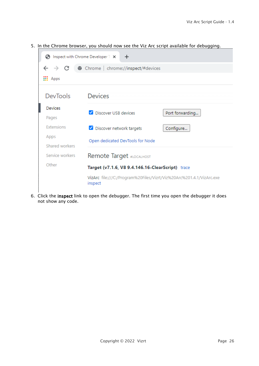| G)                     | Inspect with Chrome Developer T X<br>$\pm$                                      |                 |
|------------------------|---------------------------------------------------------------------------------|-----------------|
| $\rightarrow$ C        | Chrome   chrome://inspect/#devices                                              |                 |
| $\frac{111}{111}$ Apps |                                                                                 |                 |
| <b>DevTools</b>        | <b>Devices</b>                                                                  |                 |
| <b>Devices</b>         | Discover USB devices                                                            | Port forwarding |
| Pages                  |                                                                                 |                 |
| Extensions             | Discover network targets                                                        | Configure       |
| Apps                   | Open dedicated DevTools for Node                                                |                 |
| Shared workers         |                                                                                 |                 |
| Service workers        | Remote Target #LOCALHOST                                                        |                 |
| Other                  | Target (v7.1.6, V8 9.4.146.16-ClearScript) trace                                |                 |
|                        | VizArc_file:///C:/Program%20Files/Vizrt/Viz%20Arc%201.4.1/VizArc.exe<br>inspect |                 |

5. In the Chrome browser, you should now see the Viz Arc script available for debugging.

6. Click the inspect link to open the debugger. The first time you open the debugger it does not show any code.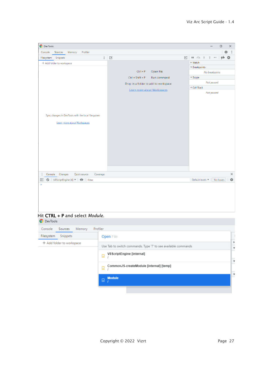| <b>O</b> DevTools                                                                 |                                                       | $\Box$<br>$\times$<br>$\overline{\phantom{m}}$                                |
|-----------------------------------------------------------------------------------|-------------------------------------------------------|-------------------------------------------------------------------------------|
| Profiler<br>Console<br>Sources<br>Memory                                          |                                                       | ☆<br>$\ddot{\cdot}$                                                           |
| $\ddot{\cdot}$<br>Snippets<br>Filesystem                                          | $\boxed{\blacktriangleleft}$<br>$\blacktriangleright$ | $H \curvearrowright$ $\div$<br>个<br>$\rightarrow$ $\circ$<br>$\bullet$<br>v/d |
| + Add folder to workspace                                                         |                                                       | $\triangleright$ Watch                                                        |
|                                                                                   |                                                       | ▼ Breakpoints                                                                 |
|                                                                                   | Open file<br>$Ctrl + P$                               | No breakpoints                                                                |
|                                                                                   | $Ctrl + Shift + P$<br>Run command                     | $\blacktriangledown$ Scope                                                    |
|                                                                                   | Drop in a folder to add to workspace                  | Not paused                                                                    |
|                                                                                   | Learn more about Workspaces                           | ▼ Call Stack                                                                  |
| Sync changes in DevTools with the local filesystem<br>Learn more about Workspaces |                                                       | Not paused                                                                    |
| Quick source<br>Console Changes<br>Coverage                                       |                                                       | $\times$                                                                      |
| S V8ScriptEngine [4] ▼ © Filter<br>$\blacktriangleright$                          |                                                       | $\frac{1}{2} \frac{1}{2}$<br>No Issues<br>Default levels ▼                    |
| ×                                                                                 |                                                       |                                                                               |

### Hit CTRL + P and select *Module*.

| <b>O</b> DevTools            |                                                                 |                           |
|------------------------------|-----------------------------------------------------------------|---------------------------|
| Console<br>Sources<br>Memory | Profiler                                                        |                           |
| Snippets<br>Filesystem       | <b>Open File</b>                                                |                           |
| + Add folder to workspace    | Use Tab to switch commands. Type '?' to see available commands  | $\overline{\mathbf{v}}$   |
|                              | V8ScriptEngine [internal]<br>$\circ$                            | $\boldsymbol{\mathrm{v}}$ |
|                              | CommonJS-createModule [internal] [temp]<br>$\overline{\bullet}$ |                           |
|                              | <b>Module</b><br>$\hfill \Box$                                  |                           |
|                              |                                                                 |                           |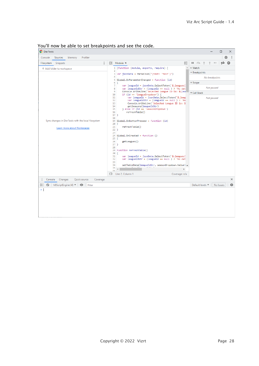| roa ir now be able to set breakponts and see the code.<br><b>O</b> DevTools<br>×<br>□                                                                      |                                                                                                                                                                                                                                                                                                                                                                                                                                                                                                                                                                                                                                                                                                                                                                                                                                                                                                                                                                               |                                                                                                                                                                                                         |  |  |
|------------------------------------------------------------------------------------------------------------------------------------------------------------|-------------------------------------------------------------------------------------------------------------------------------------------------------------------------------------------------------------------------------------------------------------------------------------------------------------------------------------------------------------------------------------------------------------------------------------------------------------------------------------------------------------------------------------------------------------------------------------------------------------------------------------------------------------------------------------------------------------------------------------------------------------------------------------------------------------------------------------------------------------------------------------------------------------------------------------------------------------------------------|---------------------------------------------------------------------------------------------------------------------------------------------------------------------------------------------------------|--|--|
| Console<br>Sources<br>Memory<br>Profiler                                                                                                                   |                                                                                                                                                                                                                                                                                                                                                                                                                                                                                                                                                                                                                                                                                                                                                                                                                                                                                                                                                                               | 森<br>÷                                                                                                                                                                                                  |  |  |
| $\ddot{\cdot}$<br>Snippets<br>Filesystem<br>+ Add folder to workspace<br>Sync changes in DevTools with the local filesystem<br>Learn more about Workspaces | $\boxed{4}$ Module $\times$<br>$\blacktriangleright$<br>1 (function (module, exports, require) {<br>$\overline{2}$<br>$3$ var jsonData = ParseJson("{test: 'test'}")<br>4<br>5 Global.OnParameterChanged = function (id)<br>6 <sub>1</sub><br>7<br>var leagueId = jsonData.SelectToken('\$.leagues[<br>8<br>var leagueIdStr = (leagueId == $null$ ) ? 'No dat<br>9<br>Console.WriteLine('Selected League ID is: \${lea<br>if $(id == 'leagueDropdown')$ {<br>10<br>var leagueId = jsonData.SelectToken('\$.leag<br>11<br>12<br>var leagueIdStr = (leagueId == $null$ ) ? 'No<br>13<br>Console.WriteLine('Selected League ID is: \$<br>14<br>getSeasons(leagueIdStr)<br>15<br>} else if (id == 'seasonDropdown')<br>refreshTable()<br>16<br>$17$ }<br>18<br>19 Global.OnButtonPressed = function (id)<br>$20^{6}$<br>21<br>refreshTable()<br>$22$ }<br>23<br>$24 G1obal.OnCreated = function ()$<br>$25$ {<br>26<br>getLeagues()<br>$27$ }<br>28<br>29 function refreshTable() | $\mathsf{H}$ $\varpi$ $\pm$<br>$\Rightarrow$ $\circ$<br><b>V</b><br>⋒<br>Ϋ<br>▶ Watch<br>$\Delta$<br>▼ Breakpoints<br>No breakpoints<br>$\triangledown$ Scope<br>Not paused<br>Call Stack<br>Not paused |  |  |
| Console Changes<br>Quick source<br>Coverage<br>V8ScriptEngine [4] ▼ © Filter<br>$\circ$<br>$\blacktriangleright$<br>× I                                    | $30 \mid \{$<br>31<br>var leagueId = jsonData.SelectToken('\$.leagues[<br>32<br>var leagueIdStr = (leagueId == null ) ? 'No dat<br>33<br>34<br>setTableData(leagueIdStr, seasonDropdown.Value) =<br>35<br>k.<br>эc<br>$\{\}$ Line 2, Column 1<br>Coverage: n/a                                                                                                                                                                                                                                                                                                                                                                                                                                                                                                                                                                                                                                                                                                                | $\times$<br>森<br>Default levels ▼<br>No Issues                                                                                                                                                          |  |  |

### You'll now be able to set breakpoints and see the code.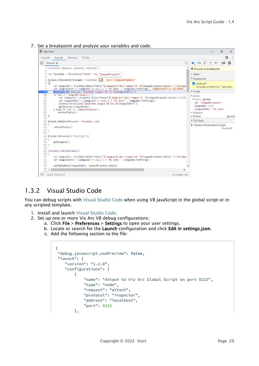7. Set a breakpoint and analyze your variables and code.



# <span id="page-28-0"></span>1.3.2 Visual Studio Code

You can debug scripts with [Visual Studio Code](https://code.visualstudio.com/) when using V8 JavaScript in the global script or in any scripted template.

- 1. Install and launch [Visual Studio Code.](https://code.visualstudio.com/)
- 2. Set up one or more Viz Arc V8 debug configurations:
	- a. Click File > Preferences > Settings to open your user settings.
	- b. Locate or search for the Launch configuration and click Edit in settings.json.
	- c. Add the following section to the file:

```
{
"debug.javascript.usePreview": false,
"launch": {
     "version": "1.2.0",
     "configurations": [
         {
             "name": "Attach to Viz Arc Global Script on port 9222",
             "type": "node",
             "request": "attach",
             "protocol": "inspector",
             "address": "localhost",
             "port": 9222
         },
```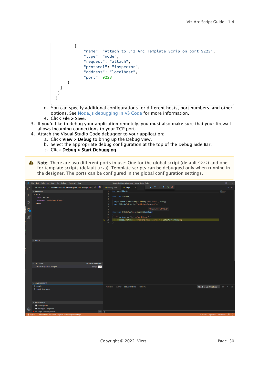```
 {
              "name": "Attach to Viz Arc Template Scrip on port 9223",
              "type": "node",
              "request": "attach",
              "protocol": "inspector",
              "address": "localhost",
              "port": 9223
      }
   ]
 }
}
```
- d. You can specify additional configurations for different hosts, port numbers, and other options. See [Node.js debugging in VS Code](https://code.visualstudio.com/docs/nodejs/nodejs-debugging) for more information.
- e. Click File > Save.
- 3. If you'd like to debug your application remotely, you must also make sure that your firewall allows incoming connections to your TCP port.
- 4. Attach the Visual Studio Code debugger to your application:
	- a. Click View > Debug to bring up the Debug view.
	- b. Select the appropriate debug configuration at the top of the Debug Side Bar.
	- c. Click Debug > Start Debugging.
- A Note: There are two different ports in use: One for the global script (default 9222) and one for template scripts (default 9223). Template scripts can be debugged only when running in the designer. The ports can be configured in the global configuration settings.

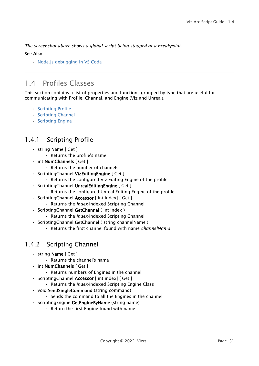*The screenshot above shows a global script being stopped at a breakpoint.*

#### See Also

• [Node.js debugging in VS Code](https://code.visualstudio.com/docs/nodejs/nodejs-debugging)

# <span id="page-30-0"></span>1.4 Profiles Classes

This section contains a list of properties and functions grouped by type that are useful for communicating with Profile, Channel, and Engine (Viz and Unreal).

- [Scripting Profile](#page-30-1)
- [Scripting Channel](#page-30-2)
- [Scripting Engine](#page-31-0)

# <span id="page-30-1"></span>1.4.1 Scripting Profile

- string Name [ Get ]
	- Returns the profile's name
- int NumChannels [ Get ]
	- Returns the number of channels
- ScriptingChannel VizEditingEngine [ Get ]
	- Returns the configured Viz Editing Engine of the profile
- ScriptingChannel UnrealEditingEngine [ Get ]
	- Returns the configured Unreal Editing Engine of the profile
- ScriptingChannel Accessor [ int index] [ Get ]
	- Returns the *index*-indexed Scripting Channel
- ScriptingChannel GetChannel ( int index )
	- Returns the *index*-indexed Scripting Channel
- ScriptingChannel GetChannel ( string channelName )
	- Returns the first channel found with name *channelName*

# <span id="page-30-2"></span>1.4.2 Scripting Channel

- string Name [ Get ]
	- Returns the channel's name
- int NumChannels [ Get ]
	- Returns numbers of Engines in the channel
- ScriptingChannel Accessor [ int index] [ Get ]
	- Returns the *index*-indexed Scripting Engine Class
- void SendSingleCommand (string command)
	- Sends the command to all the Engines in the channel
- ScriptingEngine GetEngineByName (string name)
	- Return the first Engine found with name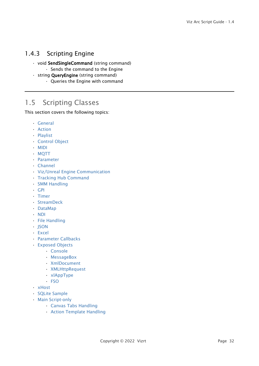# <span id="page-31-0"></span>1.4.3 Scripting Engine

- void SendSingleCommand (string command)
	- Sends the command to the Engine
- string **QueryEngine** (string command)
	- Queries the Engine with command

# <span id="page-31-1"></span>1.5 Scripting Classes

This section covers the following topics:

- [General](#page-32-0)
- [Action](#page-33-0)
- [Playlist](#page-34-0)
- [Control Object](#page-34-1)
- [MIDI](#page-35-0)
- [MQTT](#page-35-1)
- [Parameter](#page-37-0)
- [Channel](#page-38-0)
- [Viz/Unreal Engine Communication](#page-39-0)
- [Tracking Hub Command](#page-40-0)
- [SMM Handling](#page-40-1)
- [GPI](#page-40-2)
- [Timer](#page-41-0)
- [StreamDeck](#page-42-0)
- [DataMap](#page-42-1)
- [NDI](#page-43-0)
- [File Handling](#page-44-0)
- [JSON](#page-44-1)
- [Excel](#page-44-2)
- [Parameter Callbacks](#page-45-0)
- [Exposed Objects](#page-46-0)
	- [Console](#page-46-1)
	- [MessageBox](#page-46-2)
	- [XmlDocument](#page-47-0)
	- [XMLHttpRequest](#page-47-1)
	- [xlAppType](#page-48-1)
	- [FSO](#page-48-2)
- [xHost](#page-48-0)
- [SQLite Sample](#page-49-0)
- [Main Script-only](#page-51-0)
	- [Canvas Tabs Handling](#page-51-1)
	- [Action Template Handling](#page-51-2)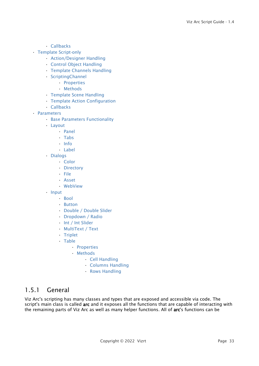- [Callbacks](#page-51-3)
- [Template Script-only](#page-52-0)
	- [Action/Designer Handling](#page-52-1)
	- [Control Object Handling](#page-52-2)
	- [Template Channels Handling](#page-53-0)
	- [ScriptingChannel](#page-53-1)
		- [Properties](#page-53-2)
		- [Methods](#page-53-3)
	- [Template Scene Handling](#page-53-4)
	- [Template Action Configuration](#page-53-5)
	- [Callbacks](#page-54-1)
- [Parameters](#page-54-0)
	- [Base Parameters Functionality](#page-54-2)
	- [Layout](#page-55-0)
		- [Panel](#page-55-1)
		- [Tabs](#page-55-2)
		- [Info](#page-55-3)
		- [Label](#page-56-0)
	- [Dialogs](#page-56-1)
		- [Color](#page-56-2)
		- [Directory](#page-56-3)
		- [File](#page-56-4)
		- [Asset](#page-56-5)
		- [WebView](#page-56-6)
	- [Input](#page-56-7)
		- [Bool](#page-56-8)
		- [Button](#page-57-0)
		- [Double / Double Slider](#page-57-1)
		- [Dropdown / Radio](#page-57-2)
		- [Int / Int Slider](#page-58-0)
		- [MultiText / Text](#page-58-1)
		- [Triplet](#page-58-2)
		- [Table](#page-58-3)
			- [Properties](#page-58-4)
			- [Methods](#page-59-0)
				- [Cell Handling](#page-59-1)
				- [Columns Handling](#page-59-2)
				- [Rows Handling](#page-60-0)

### <span id="page-32-0"></span>1.5.1 General

Viz Arc's scripting has many classes and types that are exposed and accessible via code. The script's main class is called arc and it exposes all the functions that are capable of interacting with the remaining parts of Viz Arc as well as many helper functions. All of arc's functions can be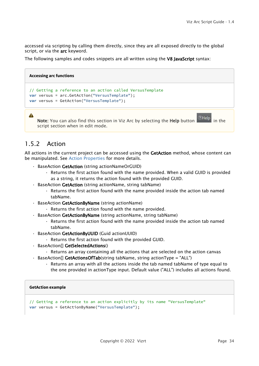accessed via scripting by calling them directly, since they are all exposed directly to the global script, or via the arc keyword.

The following samples and codes snippets are all written using the V8 JavaScript syntax:



# <span id="page-33-0"></span>1.5.2 Action

All actions in the current project can be accessed using the GetAction method, whose content can be manipulated. See [Action Properties](#page-6-0) for more details.

- BaseAction GetAction (string actionNameOrGUID)
	- Returns the first action found with the name provided. When a valid GUID is provided as a string, it returns the action found with the provided GUID.
- BaseAction GetAction (string actionName, string tabName)
	- Returns the first action found with the name provided inside the action tab named tabName.
- BaseAction GetActionByName (string actionName)
	- Returns the first action found with the name provided.
- . BaseAction GetActionByName (string actionName, string tabName)
	- Returns the first action found with the name provided inside the action tab named tabName.
- BaseAction GetActionByUUID (Guid actionUUID)
	- Returns the first action found with the provided GUID.
- BaseAction[] GetSelectedActions()
	- Returns an array containing all the actions that are selected on the action canvas
- BaseAction[] GetActionsOfTab(string tabName, string actionType = "ALL")
	- Returns an array with all the actions inside the tab named tabName of type equal to the one provided in actionType input. Default value ("ALL") includes all actions found.

#### **GetAction example**

// Getting a reference to an action explicitly by its name "VersusTemplate" **var** versus = GetActionByName("VersusTemplate");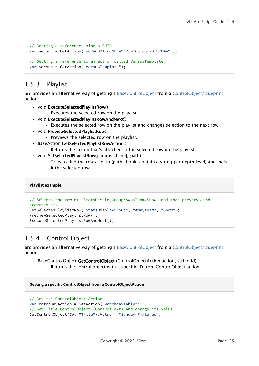```
// Getting a reference using a GUID
var versus = GetAction("e87a8031-a86b-4997-a169-c6f791920449");
// Getting a reference to an action called VersusTemplate
var versus = GetAction("VersusTemplate");
```
# <span id="page-34-0"></span>1.5.3 Playlist

arc provides an alternative way of getting a [BaseControlObject](#page-19-0) from a [ControlObject/Blueprint](#page-6-0) action.

- void ExecuteSelectedPlaylistRow()
	- Executes the selected row on the playlist.
- void ExecuteSelectedPlaylistRowAndNext()
	- Executes the selected row on the playlist and changes selection to the next row.
- void PreviewSelectedPlaylistRow()
	- Previews the selected row on the playlist.
- BaseAction GetSelectedPlaylistRowAction()
	- Returns the action that's attached to the selected row on the playlist.
- void SetSelectedPlaylistRow(params string[] path)
	- Tries to find the row at path (path should contain a string per depth level) and makes it the selected row.

#### **Playlist example**

```
// Selects the row at "StatsDisplayGroup/AwayTeam/Show" and then previews and 
executes it.
SetSelectedPlaylistRow("StatsDisplayGroup", "AwayTeam", "Show");
PreviewSelectedPlaylistRow();
ExecuteSelectedPlaylistRowAndNext();
```
# <span id="page-34-1"></span>1.5.4 Control Object

arc provides an alternative way of getting a [BaseControlObject](#page-19-0) from a [ControlObject/Blueprint](#page-6-0) action.

- BaseControlObject GetControlObject (ControlObjectAction action, string id)
	- Returns the control object with a specific ID from ControlObject action.

#### **Getting a specific ControlObject from a ControlObjectAction**

```
// Get the ControlObject Action
var MatchDayAction = GetAction("MatchdayTable");
// Get Title ControlObject (ControlText) and change its value
GetControlObject(Co, "Title").Value = "Sunday Fixtures";
```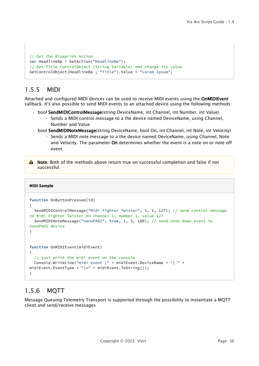```
// Get the Blueprint Action
var HeadlineBp = GetAction("HeadlineBp");
// Get Title ControlObject (String Variable) and change its value
GetControlObject(HeadlineBp , "Title").Value = "Lorem Ipsum";
```
# <span id="page-35-0"></span>1.5.5 MIDI

Attached and configured MIDI devices can be used to receive MIDI events using the OnMIDIEvent callback. It's also possible to send MIDI events to an attached device using the following methods:

- bool SendMIDIControlMessage(string DeviceName, int Channel, int Number, int Value)
	- Sends a MIDI control message to a the device named DeviceName, using Channel, Number and Value
- bool SendMIDINoteMessage(string DeviceName, bool On, int Channel, int Note, int Velocity)
	- Sends a MIDI note message to a the device named DeviceName, using Channel, Note and Velocity. The parameter On determines whether the event is a note on or note off event.

A Note: Both of the methods above return true on successful completion and false if not successful.

#### **MIDI Sample**

```
function OnButtonPressed(id)
{
   SendMIDIControlMessage("Midi Fighter Twister", 1, 1, 127); // send control message 
to Midi Fighter Twister on channel 1, number 1, value 127
   SendMIDINoteMessage("nanoPAD2", true, 1, 5, 100); // send note down event to 
nanoPAD2 device 
}
function OnMIDIEvent(midiEvent)
{
   // just print the midi event on the console
   Console.WriteLine("midi event |" + midiEvent.DeviceName + "| " + 
midiEvent.EventType + "\n" + midiEvent.ToString());
}
```
# <span id="page-35-1"></span>1.5.6 MQTT

Message Queuing Telemetry Transport is supported through the possibility to instantiate a MQTT client and send/receive messages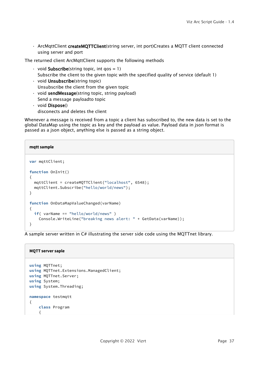• ArcMqttClient createMQTTClient(string server, int port)Creates a MQTT client connected using server and port

The returned client ArcMqttClient supports the following methods

- $\cdot$  void **Subscribe**(string topic, int qos = 1) Subscribe the client to the given topic with the specified quality of service (default 1)
- void Unsubscribe(string topic) Unsubscribe the client from the given topic
- void sendMessage(string topic, string payload) Send a message payloadto topic
- void Dispose() disconects and deletes the client

Whenever a message is received from a topic a client has subscribed to, the new data is set to the global DataMap using the topic as key and the payload as value. Payload data in json format is passed as a json object, anything else is passed as a string object.

# **mqtt sample**

```
var mqttClient;
function OnInit()
{
   mqttClient = createMQTTClient("localhost", 6548); 
   mqttClient.Subscribe("hello/world/news");
}
function OnDataMapValueChanged(varName)
{
   if( varName == "hello/world/news" )
     Console.WriteLine("breaking news alert: " + GetData(varName));
}
```
A sample server written in C# illustrating the server side code using the MQTTnet library.

### **MQTT server saple**

```
using MQTTnet;
using MQTTnet.Extensions.ManagedClient;
using MQTTnet.Server;
using System;
using System.Threading;
namespace testmqtt
{
     class Program
     {
```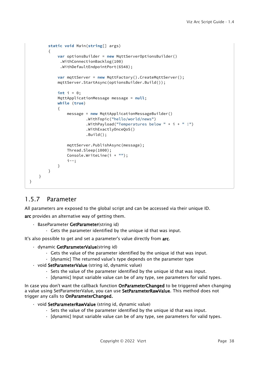```
 static void Main(string[] args)
         {
             var optionsBuilder = new MqttServerOptionsBuilder()
              .WithConnectionBacklog(100)
              .WithDefaultEndpointPort(6548);
             var mqttServer = new MqttFactory().CreateMqttServer();
             mqttServer.StartAsync(optionsBuilder.Build());
             int i = 0;
             MqttApplicationMessage message = null;
             while (true)
{
                 message = new MqttApplicationMessageBuilder()
                          .WithTopic("hello/world/news")
                         .WithPayload("Temperatures below " + i + " "!")
                          .WithExactlyOnceQoS()
                          .Build();
                 mqttServer.PublishAsync(message);
                 Thread.Sleep(1000);
                 Console.WriteLine(i + "");
                  i--;
             }
         }
     }
}
```
# <span id="page-37-0"></span>1.5.7 Parameter

All parameters are exposed to the global script and can be accessed via their unique ID.

arc provides an alternative way of getting them.

- BaseParameter GetParameter(string id)
	- Gets the parameter identified by the unique id that was input.

It's also possible to get and set a parameter's value directly from arc.

- dynamic GetParameterValue(string id)
	- Gets the value of the parameter identified by the unique id that was input.
	- [dynamic] The returned value's type depends on the parameter type
- void SetParameterValue (string id, dynamic value)
	- Sets the value of the parameter identified by the unique id that was input.
	- [dynamic] Input variable value can be of any type, see parameters for valid types.

In case you don't want the callback function **OnParameterChanged** to be triggered when changing a value using SetParameterValue, you can use SetParameterRawValue. This method does not trigger any calls to OnParameterChanged.

- void SetParameterRawValue (string id, dynamic value)
	- Sets the value of the parameter identified by the unique id that was input.
	- [dynamic] Input variable value can be of any type, see parameters for valid types.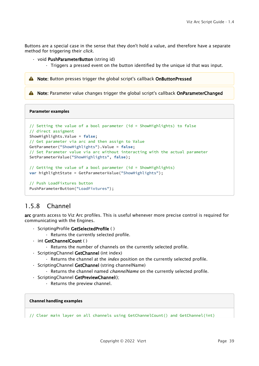Buttons are a special case in the sense that they don't hold a value, and therefore have a separate method for triggering their *click*.

#### • void **PushParameterButton** (string id)

• Triggers a pressed event on the button identified by the unique id that was input.

**A** Note: Button presses trigger the global script's callback OnButtonPressed

A Note: Parameter value changes trigger the global script's callback OnParameterChanged

**Parameter examples**

```
// Setting the value of a bool parameter (id = ShowHighlights) to false
// direct assigment
ShowHighlights.Value = false;
// Get parameter via arc and then assign to Value
GetParameter("ShowHighlights").Value = false;
// Set Parameter value via arc without interacting with the actual parameter
SetParameterValue("ShowHighlights", false);
// Getting the value of a bool parameter (id = ShowHighlights)
var highlightState = GetParameterValue("ShowHighlights");
// Push LoadFixtures button
```
PushParameterButton("LoadFixtures");

### <span id="page-38-0"></span>1.5.8 Channel

arc grants access to Viz Arc profiles. This is useful whenever more precise control is required for communicating with the Engines.

- ScriptingProfile GetSelectedProfile ( )
	- Returns the currently selected profile.
- int GetChannelCount ( )
	- Returns the number of channels on the currently selected profile.
- ScriptingChannel GetChannel (int index)
	- Returns the channel at the *index* position on the currently selected profile.
- ScriptingChannel GetChannel (string channelName)
	- Returns the channel named *channelName* on the currently selected profile.
- ScriptingChannel GetPreviewChannel();
	- Returns the preview channel.

#### **Channel handling examples**

// Clear main layer on all channels using GetChannelCount() and GetChannel(int)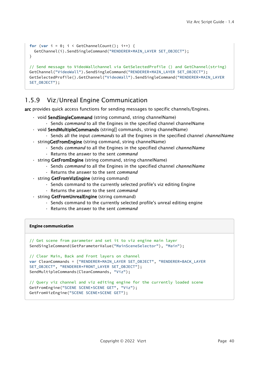```
for (var i = 0; i < GetChannelCount(); i++) {
  GetChannel(i).SendSingleCommand("RENDERER*MAIN_LAYER SET_OBJECT");
} 
// Send message to VideoWallchannel via GetSelectedProfile () and GetChannel(string)
GetChannel("VideoWall").SendSingleCommand("RENDERER*MAIN_LAYER SET_OBJECT");
GetSelectedProfile().GetChannel("VideoWall").SendSingleCommand("RENDERER*MAIN_LAYER 
SET_OBJECT");
```
# <span id="page-39-0"></span>1.5.9 Viz/Unreal Engine Communication

arc provides quick access functions for sending messages to specific channels/Engines.

- void SendSingleCommand (string command, string channelName)
	- Sends *command* to all the Engines in the specified channel channelName
- void SendMultipleCommands (string[] commands, string channelName)
	- Sends all the input *commands* to all the Engines in the specified channel *channelName*
- stringGetFromEngine (string command, string channelName)
	- Sends *command* to all the Engines in the specified channel *channelName*
	- Returns the answer to the sent *command*
- string GetFromEngine (string command, string channelName)
	- Sends *command* to all the Engines in the specified channel *channelName*
	- Returns the answer to the sent *command*
- string GetFromVizEngine (string command)
	- Sends command to the currently selected profile's viz editing Engine
	- Returns the answer to the sent *command*
- string GetFromUnrealEngine (string command)
	- Sends command to the currently selected profile's unreal editing engine
	- Returns the answer to the sent *command*

#### **Engine communication**

```
// Get scene from parameter and set it to viz engine main layer
SendSingleCommand(GetParameterValue("MainSceneSelector"), "Main");
// Clear Main, Back and Front layers on channel
var CleanCommands = ["RENDERER*MAIN_LAYER SET_OBJECT", "RENDERER*BACK_LAYER 
SET_OBJECT", "RENDERER*FRONT_LAYER SET_OBJECT"]; 
SendMultipleCommands(CleanCommands, "Viz");
// Query viz channel and viz editing engine for the currently loaded scene
GetFromEngine("SCENE SCENE*SCENE GET", "Viz");
GetFromVizEngine("SCENE SCENE*SCENE GET");
```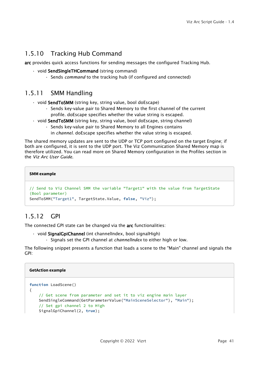# <span id="page-40-0"></span>1.5.10 Tracking Hub Command

arc provides quick access functions for sending messages the configured Tracking Hub.

- void SendSingleTHCommand (string command)
	- Sends *command* to the tracking hub (if configured and connected)

# <span id="page-40-1"></span>1.5.11 SMM Handling

- void SendToSMM (string key, string value, bool doEscape)
	- Sends key-value pair to Shared Memory to the first channel of the current profile. doEscape specifies whether the value string is escaped.
- void **SendToSMM** (string key, string value, bool doEscape, string channel)
	- Sends key-value pair to Shared Memory to all Engines contains
		- in *channel*. doEscape specifies whether the value string is escaped.

The shared memory updates are sent to the UDP or TCP port configured on the target Engine; if both are configured, it is sent to the UDP port. The Viz Communication Shared Memory map is therefore utilized. You can read more on Shared Memory configuration in the Profiles section in the *Viz Arc User Guide*.

```
SMM example
```

```
// Send to Viz Channel SMM the variable "Target1" with the value from TargetState 
(Bool parameter)
SendToSMM("Target1", TargetState.Value, false, "Viz");
```
# <span id="page-40-2"></span>1.5.12 GPI

The connected GPI state can be changed via the arc functionalities:

- void SignalGpiChannel (int channelIndex, bool signalHigh)
	- Signals set the GPI channel at *channelIndex* to either high or low.

The following snippet presents a function that loads a scene to the "Main" channel and signals the GPI:

#### **GetAction example**

```
function LoadScene()
{
     // Get scene from parameter and set it to viz engine main layer
     SendSingleCommand(GetParameterValue("MainSceneSelector"), "Main");
     // Set gpi channel 2 to High
     SignalGpiChannel(2, true);
```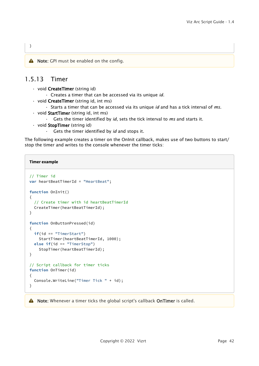<span id="page-41-0"></span>A Note: GPI must be enabled on the config.

# 1.5.13 Timer

}

- void CreateTimer (string id)
	- Creates a timer that can be accessed via its unique *id.*
- void CreateTimer (string id, int ms)
	- Starts a timer that can be accessed via its unique *id* and has a tick interval of *ms.*
- void StartTimer (string id, int ms)
	- Gets the timer identified by *id*, sets the tick interval to *ms* and starts it.
- void StopTimer (string id)
	- Gets the timer identified by *id* and stops it.

The following example creates a timer on the OnInit callback, makes use of two buttons to start/ stop the timer and writes to the console whenever the timer ticks:

#### **Timer example**

```
// Timer id
var heartBeatTimerId = "HeartBeat";
function OnInit()
{
   // Create timer with id heartBeatTimerId 
  CreateTimer(heartBeatTimerId);
}
function OnButtonPressed(id)
{
   if(id == "TimerStart")
     StartTimer(heartBeatTimerId, 1000);
  else if(id == "TimerStop")
     StopTimer(heartBeatTimerId);
}
// Script callback for timer ticks
function OnTimer(id)
{
   Console.WriteLine("Timer Tick " + id);
}
```
A Note: Whenever a timer ticks the global script's callback OnTimer is called.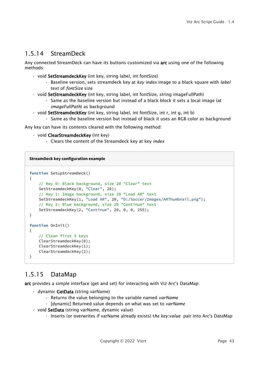# <span id="page-42-0"></span>1.5.14 StreamDeck

Any connected StreamDeck can have its buttons customized via arc using one of the following methods:

- void SetStreamdeckKey (int key, string label, int fontSize)
	- Baseline version, sets streamdeck key at *key index* image to a black square with *label* text of *fontSize* size
- void **SetStreamdeckKey** (int key, string label, int fontSize, string imageFullPath)
	- Same as the baseline version but instead of a black block it sets a local image (at *imageFullPath*) as background
- void **SetStreamdeckKey** (int key, string label, int fontSize, int r, int g, int b)
	- Same as the baseline version but instead of black it uses an RGB color as background

Any key can have its contents cleared with the following method:

- void ClearStreamdeckKey (int key)
	- Clears the content of the Streamdeck key at key *index*

**StreamDeck key configuration example**

```
function SetupStreamDeck()
{
     // Key 0: Black background, size 20 "Clear" text
     SetStreamdeckKey(0, "Clear", 20);
     // Key 1: Image background, size 20 "Load AR" text
     SetStreamdeckKey(1, "Load AR", 20, "D:/Soccer/Images/ARThumbnail.png");
     // Key 2: Blue background, size 20 "Continue" text
    SetStreamdeckKey(2, "Continue", 20, 0, 0, 255);
}
function OnInit()
{
     // Clean first 3 keys
      ClearStreamdeckKey(0);
     ClearStreamdeckKey(1);
     ClearStreamdeckKey(2);
}
```
# <span id="page-42-1"></span>1.5.15 DataMap

arc provides a simple interface (get and set) for interacting with Viz Arc's DataMap:

- dynamic GetData (string varName)
	- Returns the value belonging to the variable named *varName*
	- [dynamic] Returned value depends on what was set to *varName*
- void SetData (string varName, dynamic value)
	- Inserts (or overwrites if varName already exists) t*he key:value* pair into Arc's DataMap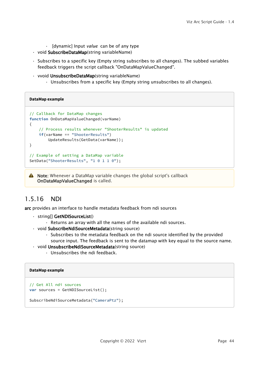- [dynamic] Input *value* can be of any type
- void SubscribeDataMap(string variableName)
- Subscribes to a specific key (Empty string subscribes to all changes). The subbed variables feedback triggers the script callback "OnDataMapValueChanged".
- vvoid UnsubscribeDataMap(string variableName)
	- Unsubscribes from a specific key (Empty string unsubscribes to all changes).

**DataMap example**

```
// Callback for DataMap changes
function OnDataMapValueChanged(varName)
{
     // Process results whenever "ShooterResults" is updated
     if(varName == "ShooterResults")
         UpdateResults(GetData(varName));
}
// Example of setting a DataMap variable
SetData("ShooterResults", "1 0 1 1 0");
```
A Note: Whenever a DataMap variable changes the global script's callback OnDataMapValueChanged is called.

### <span id="page-43-0"></span>1.5.16 NDI

arc provides an interface to handle metadata feedback from ndi sources

- string[] GetNDISourceList()
	- Returns an array with all the names of the available ndi sources.
- void SubscribeNdiSourceMetadata(string source)
	- Subscribes to the metadata feedback on the ndi source identified by the provided source input. The feedback is sent to the datamap with key equal to the source name.
- void UnsubscribeNdiSourceMetadata(string source)
	- Unsubscribes the ndi feedback.

#### **DataMap example**

```
// Get All ndi sources
var sources = GetNDISourceList();
SubscribeNdiSourceMetadata("CameraPtz");
```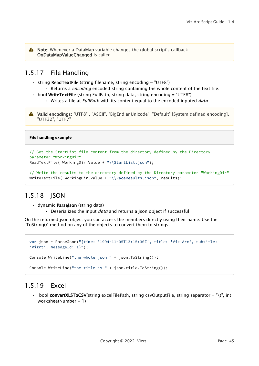A Note: Whenever a DataMap variable changes the global script's callback OnDataMapValueChanged is called.

# <span id="page-44-0"></span>1.5.17 File Handling

- $\cdot$  string ReadTextFile (string filename, string encoding = "UTF8")
	- Returns a *encoding* encoded string containing the whole content of the text file.
- bool WriteTextFile (string FullPath, string data, string encoding = "UTF8")
	- Writes a file at *FullPath* with its content equal to the encoded inputed *data*

A Valid encodings: "UTF8", "ASCII", "BigEndianUnicode", "Default" [System defined encoding], "UTF32", "UTF7"

#### **File handling example**

```
// Get the StartList file content from the directory defined by the Directory 
parameter "WorkingDir"
ReadTextFile( WorkingDir.Value + "\\StartList.json");
```

```
// Write the results to the directory defined by the Directory parameter "WorkingDir"
WriteTextFile( WorkingDir.Value + "\\RaceResults.json", results);
```
# <span id="page-44-1"></span>1.5.18 ISON

- dynamic ParseJson (string data)
	- Deserializes the input *data* and returns a json object if successful

On the returned json object you can access the members directly using their name. Use the "ToString()" method on any of the objects to convert them to strings.

```
var json = ParseJson("{time: '1994-11-05T13:15:30Z', title: 'Viz Arc', subtitle: 
'Vizrt', messageId: 1}");
Console.WriteLine("the whole json " + json.ToString());
Console.WriteLine("the title is " + json.title.ToString());
```
# <span id="page-44-2"></span>1.5.19 Excel

 $\cdot$  bool convertXLSToCSV(string excelFilePath, string csvOutputFile, string separator = "\t", int worksheetNumber = 1)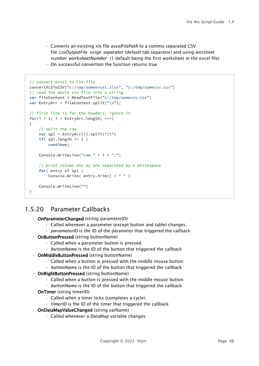- Converts an existing xls file *excelFilePath* to a comma separated CSV file *csvOutputFile* usign *separator* (default tab separator) and using worsheet number *worksheetNumber* (1 default being the first worksheet in the excel file)
- On successful convertion the function returns true

```
// convert excel to CSV file
convertXLSToCSV("c:/tmp/someexcel.xlsx", "c:/tmp/somecsv.csv")
// read the whole csv file into a string
var fileContent = ReadTextFile("c:/tmp/somecsv.csv")
var EntryArr = fileContent.split("\n");
// First line is for the headers, ignore it
for(i = 1; i < EntryArr.length; i++){
     // split the row
     var spl = EntryArr[i].split("\t")
     if( spl.length <= 1 )
         continue;
     Console.WriteLine("row " + i + ":")
     // print colums one by one separated by a whitespace
     for( entry of spl )
         Console.Write( entry.trim() + " " )
     Console.WriteLine("")
}
```
# <span id="page-45-0"></span>1.5.20 Parameter Callbacks

- OnParameterChanged (string parameterID)
	- Called whenever a parameter (except button and table) changes.
	- *parameterID* is the ID of the parameter that triggered the callback
- OnButtonPressed (string buttonName)
	- Called when a parameter button is pressed.
	- *buttonName* is the ID of the button that triggered the callback
- OnMiddleButtonPressed (string buttonName)
	- Called when a button is pressed with the middle mouse button
	- *buttonName* is the ID of the button that triggered the callback
- OnRightButtonPressed (string buttonName)
	- Called when a button is pressed with the middle mouse button
	- *buttonName* is the ID of the button that triggered the callback
- OnTimer (string timerID)
	- Called when a timer ticks (completes a cycle).
	- *timerID* is the ID of the timer that triggered the callback
- OnDataMapValueChanged (string varName)
	- Called whenever a DataMap variable changes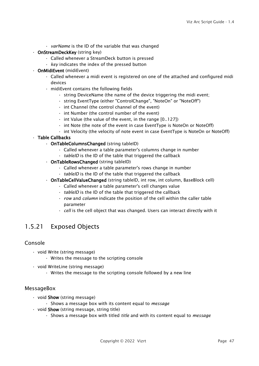- *varName* is the ID of the variable that was changed
- OnStreamDeckKey (string key)
	- Called whenever a StreamDeck button is pressed
	- *key* indicates the index of the pressed button
- OnMidiEvent (midiEvent)
	- Called whenever a midi event is registered on one of the attached and configured midi devices
	- midiEvent contains the following fields
		- string DeviceName (the name of the device triggering the midi event;
		- string EventType (either "ControlChange", "NoteOn" or "NoteOff")
		- int Channel (the control channel of the event)
		- int Number (the control number of the event)
		- int Value (the value of the event, in the range [0..127])
		- int Note (the note of the event in case EventType is NoteOn or NoteOff)
		- int Velocity (the velocity of note event in case EventType is NoteOn or NoteOff)

### • Table Callbacks

- OnTableColumnsChanged (string tableID)
	- Called whenever a table parameter's columns change in number
	- *tableID* is the ID of the table that triggered the callback
- OnTableRowsChanged (string tableID)
	- Called whenever a table parameter's rows change in number
	- *tableID* is the ID of the table that triggered the callback
- OnTableCellValueChanged (string tableID, int row, int column, BaseBlock cell)
	- Called whenever a table parameter's cell changes value
	- *tableID* is the ID of the table that triggered the callback
	- *row* and *column* indicate the position of the cell within the caller table parameter
	- *cell* is the cell object that was changed. Users can interact directly with it

# <span id="page-46-1"></span><span id="page-46-0"></span>1.5.21 Exposed Objects

### Console

- void Write (string message)
	- Writes the message to the scripting console
- void WriteLine (string message)
	- Writes the message to the scripting console followed by a new line

### <span id="page-46-2"></span>**MessageBox**

- void **Show** (string message)
	- Shows a message box with its content equal to *message*
- $\cdot$  void **Show** (string message, string title)
	- Shows a message box with titled *title* and with its content equal to *message*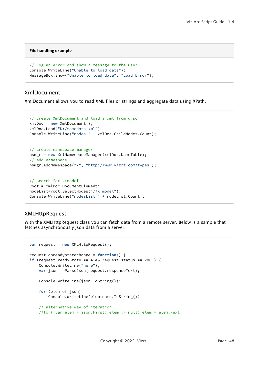#### **File handling example**

```
// Log an error and show a message to the user
Console.WriteLine("Unable to load data");
MessageBox.Show("Unable to load data", "Load Error");
```
### <span id="page-47-0"></span>XmlDocument

XmlDocument allows you to read XML files or strings and aggregate data using XPath.

```
// create XmlDocument and load a xml from disc
xmlDoc = new XmlDocument();
xmlDoc.Load("D:/somedata.xml");
Console.WriteLine("nodes " + xmlDoc.ChildNodes.Count);
// create namespace manager
```

```
nsmgr = new XmlNamespaceManager(xmlDoc.NameTable);
// add namespace
nsmgr.AddNamespace("x", "http://www.vizrt.com/types");
```

```
// search for x:model
root = xmlDoc.DocumentElement;
nodeList=root.SelectNodes("//x:model");
Console.WriteLine("nodesList " + nodeList.Count);
```
### <span id="page-47-1"></span>XMLHttpRequest

With the XMLHttpRequest class you can fetch data from a remote server. Below is a sample that fetches asynchronously json data from a server.

```
var request = new XMLHttpRequest();
request.onreadystatechange = function() {
if (request.readyState == 4 && request.status == 200 ) {
     Console.WriteLine("here");
     var json = ParseJson(request.responseText);
     Console.WriteLine(json.ToString());
     for (elem of json) 
         Console.WriteLine(elem.name.ToString());
     // alternative way of iteration
     //for( var elem = json.First; elem != null; elem = elem.Next)
```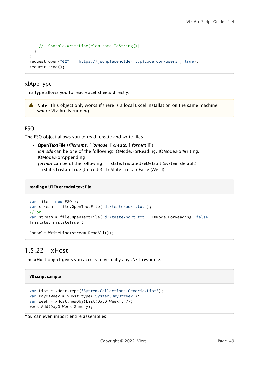```
 // Console.WriteLine(elem.name.ToString());
   }
}
request.open("GET", "https://jsonplaceholder.typicode.com/users", true);
request.send();
```
### <span id="page-48-1"></span>xlAppType

This type allows you to read excel sheets directly.

A Note: This object only works if there is a local Excel installation on the same machine where Viz Arc is running.

### <span id="page-48-2"></span>FSO

The FSO object allows you to read, create and write files.

• OpenTextFile (*filename*, [ *iomode*, [ *create*, [ *format* ]]]) *iomode* can be one of the following: IOMode.ForReading, IOMode.ForWriting, IOMode.ForAppending *format* can be of the following: Tristate.TristateUseDefault (system default), TriState.TristateTrue (Unicode), TriState.TristateFalse (ASCII)

#### **reading a UTF8 encoded text file**

```
var file = new FSO():
var stream = file.OpenTextFile("d:/testexport.txt");
// or
var stream = file.OpenTextFile("d:/testexport.txt", IOMode.ForReading, false, 
Tristate.TristateTrue);
Console.WriteLine(stream.ReadAll());
```
# <span id="page-48-0"></span>1.5.22 xHost

The xHost object gives you access to virtually any .NET resource.

### **V8 script sample**

```
var List = xHost.type('System.Collections.Generic.List');
var DayOfWeek = xHost.type('System.DayOfWeek');
var week = xHost.newObj(List(DayOfWeek), 7);
week.Add(DayOfWeek.Sunday);
```
You can even import entire assemblies: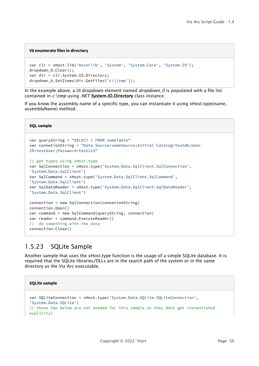#### **V8 enumerate files in directory**

```
var clr = xHost.lib('mscorlib', 'System', 'System.Core', 'System.IO');
dropdown_0.Clear();
var dir = clr.System.IO.Directory;
dropdown_0.SetItems(dir.GetFiles('c:\\tmp'));
```
In the example above, a UI dropdown element named *dropdown\_0* is populated with a file list contained in *c:\tmp* using .NET System.IO.Directory class instance.

If you know the assembly name of a specific type, you can instantiate it using xHost.type(name, assemblyName) method.

**SQL sample**

```
var queryString = "SELECT * FROM someTable"
var connetionString = "Data Source=someSource;Initial Catalog=Testdb;User 
ID=testUser;Password=test123"
// get types using xHost.type
var SqlConnection = xHost.type('System.Data.SqlClient.SqlConnection', 
'System.Data.SqlClient')
var SqlCommand = xHost.type('System.Data.SqlClient.SqlCommand', 
'System.Data.SqlClient')
var SqlDataReader = xHost.type('System.Data.SqlClient.SqlDataReader', 
'System.Data.SqlClient')
connection = new SqlConnection(connetionString)
connection.Open()
var command = new SqlCommand(queryString, connection)
var reader = command.ExecuteReader()
// do something with the data
connection.Close()
```
# <span id="page-49-0"></span>1.5.23 SQLite Sample

Another sample that uses the xHost.type function is the usage of a simple SQLite database. It is required that the SQLite libraries/DLLs are in the search path of the system or in the same directory as the Viz Arc executable.

```
SQLite sample
var SQLiteConnection = xHost.type('System.Data.SQLite.SQLiteConnection', 
'System.Data.SQLite')
// those two below are not needed for this sample as they dont get instantiated 
explicityl
```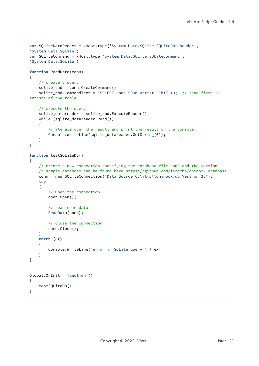```
var SQLiteDataReader = xHost.type('System.Data.SQLite.SQLiteDataReader', 
'System.Data.SQLite')
var SQLiteCommand = xHost.type('System.Data.SQLite.SQLiteCommand', 
'System.Data.SQLite')
function ReadData(conn)
{
     // create q query
     sqlite_cmd = conn.CreateCommand()
     sqlite_cmd.CommandText = "SELECT Name FROM Artist LIMIT 10;" // read first 10 
artists of the table
     // execute the query
     sqlite_datareader = sqlite_cmd.ExecuteReader();
     while (sqlite_datareader.Read())
     {
         // iterate over the result and print the result on the console
         Console.WriteLine(sqlite_datareader.GetString(0));
     }
}
function testSQLiteDB()
{
     // create a new connection specifying the database file name and the version
     // sample database can be found here https://github.com/lerocha/chinook-database
    conn = new SQLiteConnection("Data Source=C:\\tmp\\Chinook.db;Version=3;");
     try
     {
         // Open the connection:
         conn.Open();
         // read some data
         ReadData(conn);
         // close the connection
         conn.Close();
     }
     catch (ex)
     {
         Console.WriteLine("error in SQLite query " + ex)
     }
}
Global.OnInit = function ()
{
     testSQLiteDB()
}
```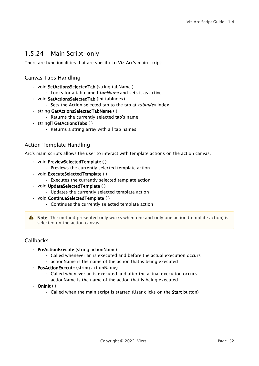# <span id="page-51-0"></span>1.5.24 Main Script-only

<span id="page-51-1"></span>There are functionalities that are specific to Viz Arc's main script:

### Canvas Tabs Handling

- void SetActionsSelectedTab (string tabName )
	- Looks for a tab named *tabName* and sets it as active
- void SetActionsSelectedTab (int tabIndex)
	- Sets the Action selected tab to the tab at *tabIndex* index
- string GetActionsSelectedTabName ( )
	- Returns the currently selected tab's name
- string[] GetActionsTabs ( )
	- Returns a string array with all tab names

### <span id="page-51-2"></span>Action Template Handling

Arc's main scripts allows the user to interact with template actions on the action canvas.

- void PreviewSelectedTemplate ( )
	- Previews the currently selected template action
- void ExecuteSelectedTemplate ( )
	- Executes the currently selected template action
- void UpdateSelectedTemplate ( )
	- Updates the currently selected template action
- void ContinueSelectedTemplate ( )
	- Continues the currently selected template action

A Note: The method presented only works when one and only one action (template action) is selected on the action canvas.

### <span id="page-51-3"></span>Callbacks

- PreActionExecute (string actionName)
	- Called whenever an is executed and before the actual execution occurs
	- actionName is the name of the action that is being executed
- PosActionExecute (string actionName)
	- Called whenever an is executed and after the actual execution occurs
	- actionName is the name of the action that is being executed
- $\cdot$  Onlnit ()
	- Called when the main script is started (User clicks on the **Start** button)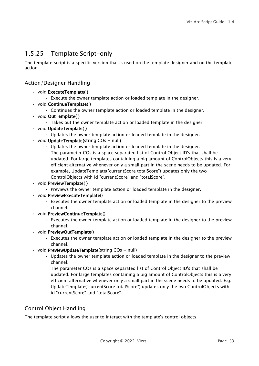# <span id="page-52-0"></span>1.5.25 Template Script-only

The template script is a specific version that is used on the template designer and on the template action.

### <span id="page-52-1"></span>Action/Designer Handling

- void ExecuteTemplate( )
	- Execute the owner template action or loaded template in the designer.
- void ContinueTemplate( )
	- Continues the owner template action or loaded template in the designer.
- void OutTemplate( )
	- Takes out the owner template action or loaded template in the designer.
- void UpdateTemplate( )
	- Updates the owner template action or loaded template in the designer.
- $\cdot$  void UpdateTemplate(string COs = null)
	- Updates the owner template action or loaded template in the designer. The parameter COs is a space separated list of Control Object ID's that shall be updated. For large templates containing a big amount of ControlObjects this is a very efficient alternative whenever only a small part in the scene needs to be updated. For example, UpdateTemplate("currentScore totalScore") updates only the two ControlObjects with id "currentScore" and "totalScore".
- void PreviewTemplate( )
	- Previews the owner template action or loaded template in the designer.
- void PreviewExecuteTemplate()
	- Executes the owner template action or loaded template in the designer to the preview channel.
- void PreviewContinueTemplate()
	- Executes the owner template action or loaded template in the designer to the preview channel.
- void PreviewOutTemplate()
	- Executes the owner template action or loaded template in the designer to the preview channel.
- $\cdot$  void PreviewUpdateTemplate(string COs = null)
	- Updates the owner template action or loaded template in the designer to the preview channel.

The parameter COs is a space separated list of Control Object ID's that shall be updated. For large templates containing a big amount of ControlObjects this is a very efficient alternative whenever only a small part in the scene needs to be updated. E.g. UpdateTemplate("currentScore totalScore") updates only the two ControlObjects with id "currentScore" and "totalScore".

### <span id="page-52-2"></span>Control Object Handling

The template script allows the user to interact with the template's control objects.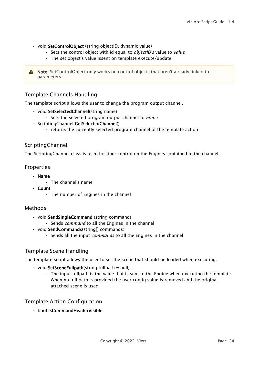- void SetControlObject (string objectID, dynamic value)
	- Sets the control object with id equal to *objectID's* value to *value*
	- The set object's value issent on template execute/update

A Note: SetControlObject only works on control objects that aren't already linked to parameters

### <span id="page-53-0"></span>Template Channels Handling

The template script allows the user to change the program output channel.

- void SetSelectedChannel(string name)
	- Sets the selected program output channel to *name*
- ScriptingChannel GetSelectedChannel()
	- returns the currently selected program channel of the template action

### <span id="page-53-1"></span>**ScriptingChannel**

<span id="page-53-2"></span>The ScriptingChannel class is used for finer control on the Engines contained in the channel.

#### Properties

- Name
	- The channel's name
- Count
	- The number of Engines in the channel

### <span id="page-53-3"></span>Methods

- void SendSingleCommand (string command)
	- Sends *command* to all the Engines in the channel
- void SendCommands(string[] commands)
	- Sends all the input *commands* to all the Engines in the channel

### <span id="page-53-4"></span>Template Scene Handling

The template script allows the user to set the scene that should be loaded when executing.

- $\cdot$  void SetSceneFullpath(string fullpath = null)
	- The input fullpath is the value that is sent to the Engine when executing the template. When no full path is provided the user config value is removed and the original attached scene is used.

### <span id="page-53-5"></span>Template Action Configuration

• bool IsCommandHeaderVisible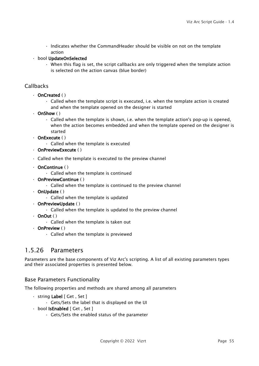- Indicates whether the CommandHeader should be visible on not on the template action
- bool UpdateOnSelected
	- When this flag is set, the script callbacks are only triggered when the template action is selected on the action canvas (blue border)

### <span id="page-54-1"></span>**Callbacks**

- OnCreated ( )
	- Called when the template script is executed, i.e. when the template action is created and when the template opened on the designer is started
- OnShow ( )
	- Called when the template is shown, i.e. when the template action's pop-up is opened, when the action becomes embedded and when the template opened on the designer is started
- OnExecute ( )
	- Called when the template is executed
- OnPreviewExecute ( )
- Called when the template is executed to the preview channel
- OnContinue ( )
	- Called when the template is continued
- OnPreviewContinue ( )
	- Called when the template is continued to the preview channel
- OnUpdate ( )
	- Called when the template is updated
- OnPreviewUpdate ( )
	- Called when the template is updated to the preview channel
- $\cdot$  OnOut ()
	- Called when the template is taken out
- OnPreview ( )
	- Called when the template is previewed

## <span id="page-54-0"></span>1.5.26 Parameters

Parameters are the base components of Viz Arc's scripting. A list of all existing parameters types and their associated properties is presented below.

### <span id="page-54-2"></span>Base Parameters Functionality

The following properties and methods are shared among all parameters

- string Label [ Get , Set ]
	- Gets/Sets the label that is displayed on the UI
- bool IsEnabled [ Get , Set ]
	- Gets/Sets the enabled status of the parameter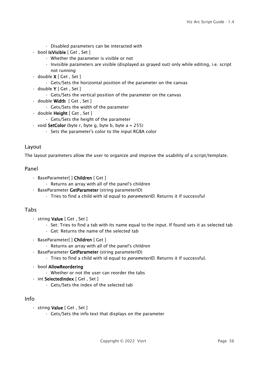- Disabled parameters can be interacted with
- bool IsVisible [ Get , Set ]
	- Whether the parameter is visible or not
	- Invisible parameters are visible (displayed as grayed out) only while editing, i.e. script not running
- $\cdot$  double **X** [ Get , Set ]
	- Gets/Sets the horizontal position of the parameter on the canvas
- $\cdot$  double **Y** [ Get , Set ]
	- Gets/Sets the vertical position of the parameter on the canvas
- double Width [ Get , Set ]
	- Gets/Sets the width of the parameter
- double Height [ Get , Set ]
	- Gets/Sets the height of the parameter
- void **SetColor** (byte r, byte g, byte b, byte  $a = 255$ )
	- Sets the parameter's color to the input RGBA color

### <span id="page-55-0"></span>Layout

<span id="page-55-1"></span>The layout parameters allow the user to organize and improve the usability of a script/template.

### Panel

- BaseParameter[ ] Children [ Get ]
	- Returns an array with all of the panel's children
- BaseParameter GetParameter (string parameterID)
	- Tries to find a child with id equal to *parameterID*. Returns it if successful

### <span id="page-55-2"></span>Tabs

- string Value [ Get , Set ]
	- Set: Tries to find a tab with its name equal to the input. If found sets it as selected tab
	- Get: Returns the name of the selected tab
- BaseParameter[ ] Children [ Get ]
	- Returns an array with all of the panel's children
- BaseParameter GetParameter (string parameterID)
	- Tries to find a child with id equal to *parameterID*. Returns it if successful.
- bool AllowReordering
	- Whether or not the user can reorder the tabs
- int SelectedIndex [ Get , Set ]
	- Gets/Sets the index of the selected tab

### <span id="page-55-3"></span>Info

- string Value [ Get , Set ]
	- Gets/Sets the info text that displays on the parameter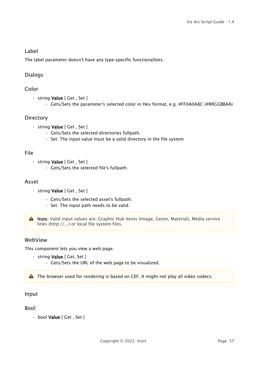### <span id="page-56-0"></span>Label

<span id="page-56-1"></span>The label parameter doesn't have any type-specific functionalities.

### <span id="page-56-2"></span>Dialogs

### Color

- string Value [ Get , Set ]
	- Gets/Sets the parameter's selected color in Hex format, e.g. #FF0A0A8C (#RRGGBBAA)

### <span id="page-56-3"></span>**Directory**

- string Value [ Get , Set ]
	- Gets/Sets the selected directories fullpath.
	- Set: The input value must be a valid directory in the file system

### <span id="page-56-4"></span>File

- string Value [ Get , Set ]
	- Gets/Sets the selected file's fullpath.

### <span id="page-56-5"></span>Asset

- string Value [ Get , Set ]
	- Gets/Sets the selected asset's fullpath.
	- Set: The input path needs to be valid.

A Note: Valid input values are: Graphic Hub items (Image, Geom, Material), Media service links (http://...) or local file system files.

### <span id="page-56-6"></span>WebView

This component lets you view a web page.

- string Value [ Get, Set ]
	- Gets/Sets the URL of the web page to be visualized.

<span id="page-56-7"></span>A The browser used for rendering is based on CEF. It might not play all video codecs.

### <span id="page-56-8"></span>Input

### Bool

• bool Value [ Get , Set ]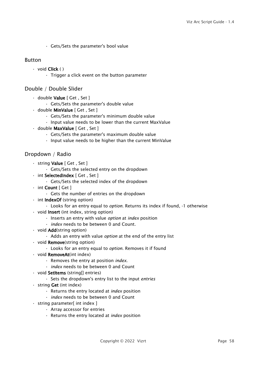• Gets/Sets the parameter's bool value

### <span id="page-57-0"></span>Button

- void Click ( )
	- Trigger a click event on the button parameter

### <span id="page-57-1"></span>Double / Double Slider

- double Value [ Get , Set ]
	- Gets/Sets the parameter's double value
- double MinValue [ Get , Set ]
	- Gets/Sets the parameter's minimum double value
	- Input value needs to be lower than the current MaxValue
- double MaxValue [ Get , Set ]
	- Gets/Sets the parameter's maximum double value
	- Input value needs to be higher than the current MinValue

### <span id="page-57-2"></span>Dropdown / Radio

- string Value [ Get , Set ]
	- Gets/Sets the selected entry on the dropdown
- int SelectedIndex [ Get , Set ]
	- Gets/Sets the selected index of the dropdown
- $\cdot$  int Count [ Get ]
	- Gets the number of entries on the dropdown
- int IndexOf (string option)
	- Looks for an entry equal to *option*. Returns its index if found, -1 otherwise
- void Insert (int index, string option)
	- Inserts an entry with value *option* at *index* position
	- *index* needs to be between 0 and Count.
- void **Add**(string option)
	- Adds an entry with value *option* at the end of the entry list
- $\cdot$  void **Remove**(string option)
	- Looks for an entry equal to *option*. Removes it if found
- void RemoveAt(int index)
	- Removes the entry at position *index*.
	- *index* needs to be between 0 and Count
- void Setitems (string[] entries)
	- Sets the dropdown's entry list to the input *entries*
- string Get (int index)
	- Returns the entry located at *index* position
	- *index* needs to be between 0 and Count
- string parameter[ int index ]
	- Array accessor for entries
	- Returns the entry located at *index* position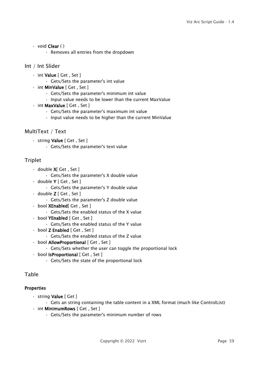- void Clear ( )
	- Removes all entries from the dropdown

### <span id="page-58-0"></span>Int / Int Slider

- int Value [ Get , Set ]
	- Gets/Sets the parameter's int value
- int MinValue [ Get , Set ]
	- Gets/Sets the parameter's minimum int value
	- Input value needs to be lower than the current MaxValue
- int MaxValue [ Get , Set ]
	- Gets/Sets the parameter's maximum int value
	- Input value needs to be higher than the current MinValue

### <span id="page-58-1"></span>MultiText / Text

- string Value [ Get , Set ]
	- Gets/Sets the parameter's text value

### <span id="page-58-2"></span>Triplet

- $\cdot$  double **X**[ Get , Set ]
	- Gets/Sets the parameter's X double value
- double Y [ Get , Set ]
	- Gets/Sets the parameter's Y double value
- $\cdot$  double **Z** [ Get , Set ]
	- Gets/Sets the parameter's Z double value
- bool XEnabled[ Get , Set ]
	- Gets/Sets the enabled status of the X value
- bool YEnabled [ Get , Set ]
	- Gets/Sets the enabled status of the Y value
- bool Z Enabled [ Get , Set ]
	- Gets/Sets the enabled status of the Z value
- bool AllowProportional [ Get , Set ]
	- Gets/Sets whether the user can toggle the proportional lock
- bool IsProportional [ Get , Set ]
	- Gets/Sets the state of the proportional lock

### <span id="page-58-4"></span><span id="page-58-3"></span>Table

### **Properties**

- string Value [ Get ]
	- Gets an string containing the table content in a XML format (much like ControlList)
- int MinimumRows [ Get , Set ]
	- Gets/Sets the parameter's minimum number of rows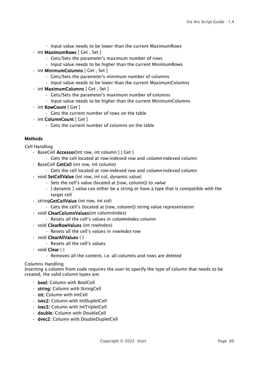- Input value needs to be lower than the current MaximumRows
- int MaximumRows [ Get , Set ]
	- Gets/Sets the parameter's maximum number of rows
	- Input value needs to be higher than the current MinimumRows
- int MinimumColumns [ Get , Set ]
	- Gets/Sets the parameter's minimum number of columns
	- Input value needs to be lower than the current MaximumColumns
- int MaximumColumns [ Get , Set ]
	- Gets/Sets the parameter's maximum number of columns
	- Input value needs to be higher than the current MinimumColumns
- int RowCount [ Get ]
	- Gets the current number of rows on the table
- int ColumnCount [ Get ]
	- Gets the current number of columns on the table

### <span id="page-59-0"></span>**Methods**

<span id="page-59-1"></span>Cell Handling

- BaseCell Accessor[int row, int column ] [ Get ]
	- Gets the cell located at *row*-indexed row and *column*-indexed column
- BaseCell GetCell (int row, int column)
	- Gets the cell located at *row*-indexed row and *column*-indexed column
- void SetCellValue (int row, int col, dynamic value)
	- Sets the cell's value (located at [row, column]) to *value*
	- [ dynamic ] *value* can either be a string or have a type that is compatible with the target cell
- stringGetCellValue (int row, int col)
	- Gets the cell's (located at [row, column]) string value representation
- void ClearColumnValues(int columnIndex)
	- Resets all the cell's values in *columnIndex* column
- void **ClearRowValues** (int rowIndex)
	- Resets all the cell's values in *rowIndex* row
- void ClearAllValues ( )
	- Resets all the cell's values
- void Clear ( )
	- Removes all the content, i.e. all columns and rows are deleted

#### <span id="page-59-2"></span>Columns Handling

Inserting a column from code requires the user to specify the type of column that needs to be created, the valid column types are:

- bool: Column with BoolCell
- string: Column with StringCell
- int: Column with IntCell
- ivec2: Column with IntDupletCell
- ivec3: Column with IntTripletCell
- double: Column with DoubleCell
- dvec2: Column with DoubleDupletCell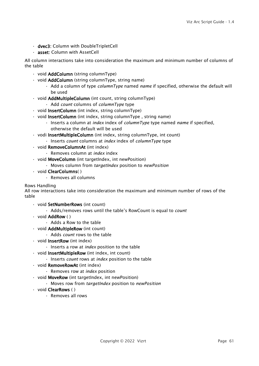- dvec3: Column with DoubleTripletCell
- asset: Column with AssetCell

All column interactions take into consideration the maximum and minimum number of columns of the table

- void **AddColumn** (string columnType)
- void **AddColumn** (string columnType, string name)
	- Add a column of type *columnType* named *name* if specified, otherwise the default will be used
- void AddMultipleColumn (int count, string columnType)
	- Add *count* columns of *columnType* type
- void **InsertColumn** (int index, string columnType)
- void InsertColumn (int index, string columnType, string name)
	- Inserts a column at *index* index of *columnType* type named *name* if specified, otherwise the default will be used
- vodi InsertMultipleColumn (int index, string columnType, int count)
	- Inserts *count* columns at *index* index of *columnType* type
- void RemoveColumnAt (int index)
	- Removes column at *index* index
- void MoveColumn (int targetIndex, int newPosition)
	- Moves column from *targetIndex* position to *newPosition*
- void ClearColumns( )
	- Removes all columns

#### <span id="page-60-0"></span>Rows Handling

All row interactions take into consideration the maximum and minimum number of rows of the table

- void SetNumberRows (int count)
	- Adds/removes rows until the table's RowCount is equal to *count*
- void AddRow ( )
	- Adds a Row to the table
- void AddMultipleRow (int count)
	- Adds *count* rows to the table
- void InsertRow (int index)
	- Inserts a row at *index* position to the table
- void InsertMultipleRow (int index, int count)
	- Inserts *count* rows at *index* position to the table
- void RemoveRowAt (int index)
	- Removes row at *index* position
- void MoveRow (int targetIndex, int newPosition)
	- Moves row from *targetIndex* position to *newPosition*
- void ClearRows ( )
	- Removes all rows